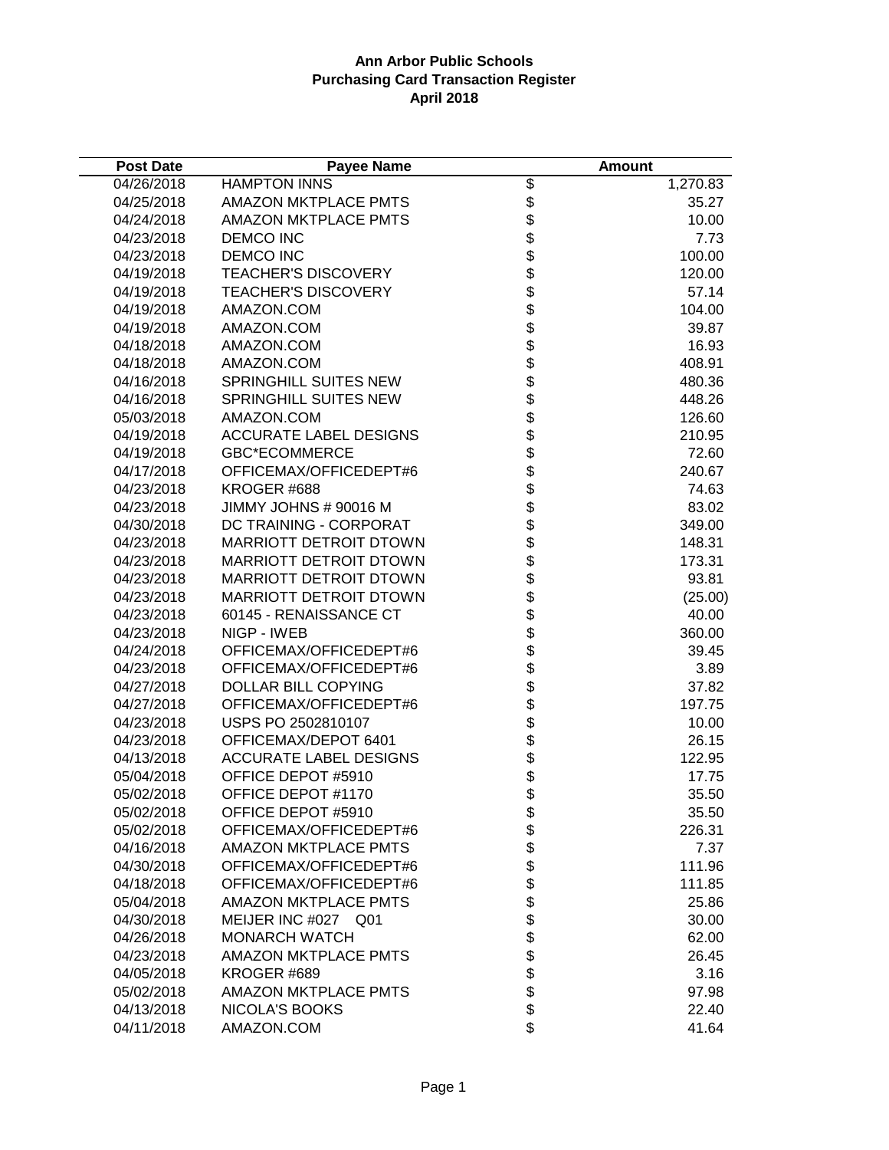| <b>Post Date</b> | <b>Payee Name</b>             |                    | <b>Amount</b> |
|------------------|-------------------------------|--------------------|---------------|
| 04/26/2018       | <b>HAMPTON INNS</b>           | \$                 | 1,270.83      |
| 04/25/2018       | <b>AMAZON MKTPLACE PMTS</b>   |                    | 35.27         |
| 04/24/2018       | <b>AMAZON MKTPLACE PMTS</b>   |                    | 10.00         |
| 04/23/2018       | <b>DEMCO INC</b>              |                    | 7.73          |
| 04/23/2018       | <b>DEMCO INC</b>              |                    | 100.00        |
| 04/19/2018       | <b>TEACHER'S DISCOVERY</b>    |                    | 120.00        |
| 04/19/2018       | <b>TEACHER'S DISCOVERY</b>    |                    | 57.14         |
| 04/19/2018       | AMAZON.COM                    |                    | 104.00        |
| 04/19/2018       | AMAZON.COM                    |                    | 39.87         |
| 04/18/2018       | AMAZON.COM                    |                    | 16.93         |
| 04/18/2018       | AMAZON.COM                    |                    | 408.91        |
| 04/16/2018       | <b>SPRINGHILL SUITES NEW</b>  |                    | 480.36        |
| 04/16/2018       | <b>SPRINGHILL SUITES NEW</b>  |                    | 448.26        |
| 05/03/2018       | AMAZON.COM                    |                    | 126.60        |
| 04/19/2018       | <b>ACCURATE LABEL DESIGNS</b> |                    | 210.95        |
| 04/19/2018       | <b>GBC*ECOMMERCE</b>          |                    | 72.60         |
| 04/17/2018       | OFFICEMAX/OFFICEDEPT#6        |                    | 240.67        |
| 04/23/2018       | KROGER #688                   |                    | 74.63         |
| 04/23/2018       | JIMMY JOHNS # 90016 M         |                    | 83.02         |
| 04/30/2018       | DC TRAINING - CORPORAT        |                    | 349.00        |
| 04/23/2018       | MARRIOTT DETROIT DTOWN        |                    | 148.31        |
| 04/23/2018       | MARRIOTT DETROIT DTOWN        |                    | 173.31        |
| 04/23/2018       | <b>MARRIOTT DETROIT DTOWN</b> |                    | 93.81         |
| 04/23/2018       | <b>MARRIOTT DETROIT DTOWN</b> |                    | (25.00)       |
| 04/23/2018       | 60145 - RENAISSANCE CT        |                    | 40.00         |
| 04/23/2018       | NIGP - IWEB                   |                    | 360.00        |
| 04/24/2018       | OFFICEMAX/OFFICEDEPT#6        |                    | 39.45         |
| 04/23/2018       | OFFICEMAX/OFFICEDEPT#6        |                    | 3.89          |
| 04/27/2018       | DOLLAR BILL COPYING           |                    | 37.82         |
| 04/27/2018       | OFFICEMAX/OFFICEDEPT#6        |                    | 197.75        |
| 04/23/2018       | USPS PO 2502810107            |                    | 10.00         |
| 04/23/2018       | OFFICEMAX/DEPOT 6401          |                    | 26.15         |
| 04/13/2018       | <b>ACCURATE LABEL DESIGNS</b> |                    | 122.95        |
| 05/04/2018       | OFFICE DEPOT #5910            |                    | 17.75         |
| 05/02/2018       | OFFICE DEPOT #1170            |                    | 35.50         |
| 05/02/2018       | OFFICE DEPOT #5910            | \$                 | 35.50         |
| 05/02/2018       | OFFICEMAX/OFFICEDEPT#6        |                    | 226.31        |
| 04/16/2018       | <b>AMAZON MKTPLACE PMTS</b>   |                    | 7.37          |
| 04/30/2018       | OFFICEMAX/OFFICEDEPT#6        |                    | 111.96        |
| 04/18/2018       | OFFICEMAX/OFFICEDEPT#6        |                    | 111.85        |
| 05/04/2018       | <b>AMAZON MKTPLACE PMTS</b>   |                    | 25.86         |
| 04/30/2018       | MEIJER INC #027 Q01           |                    | 30.00         |
| 04/26/2018       | <b>MONARCH WATCH</b>          |                    | 62.00         |
| 04/23/2018       | <b>AMAZON MKTPLACE PMTS</b>   |                    | 26.45         |
| 04/05/2018       | KROGER #689                   | <b>88888888888</b> | 3.16          |
| 05/02/2018       | <b>AMAZON MKTPLACE PMTS</b>   |                    | 97.98         |
| 04/13/2018       | NICOLA'S BOOKS                | \$                 | 22.40         |
| 04/11/2018       | AMAZON.COM                    |                    | 41.64         |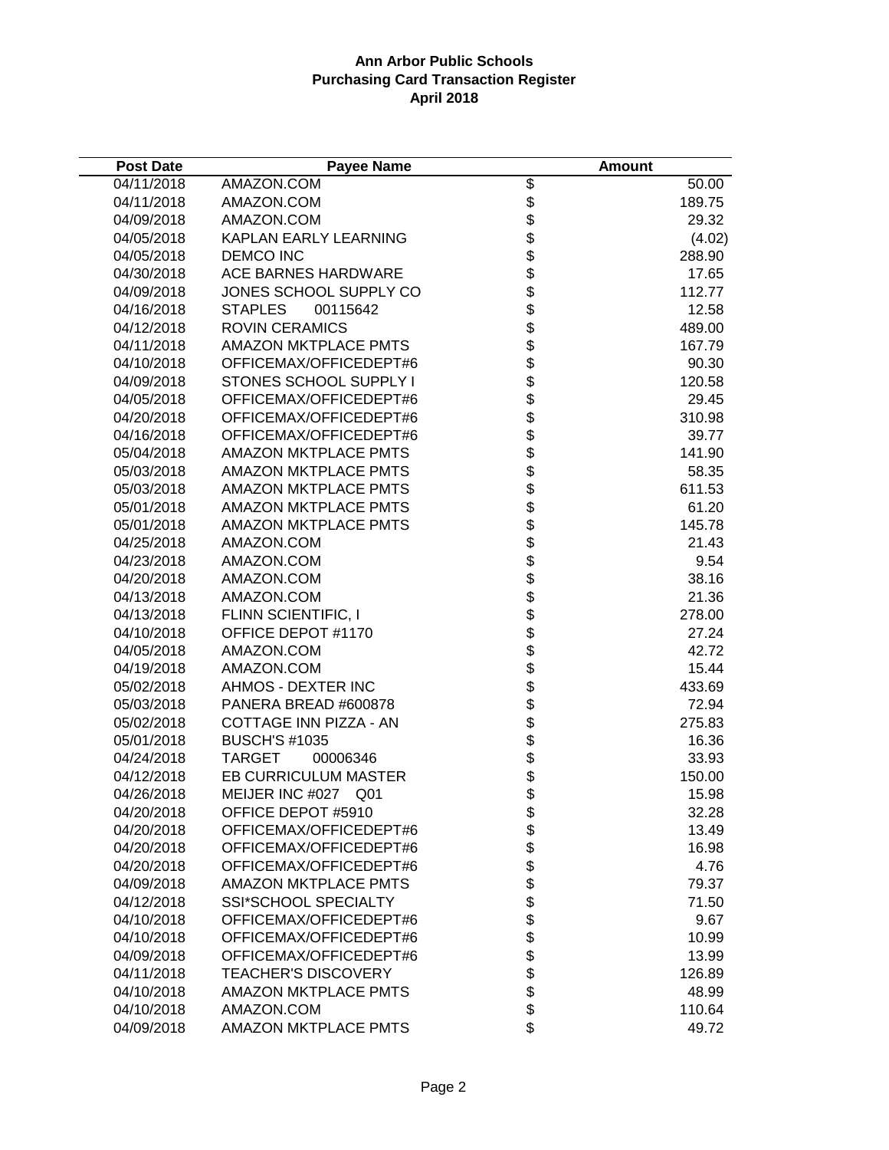| <b>Post Date</b> | <b>Payee Name</b>                  |              | <b>Amount</b> |
|------------------|------------------------------------|--------------|---------------|
| 04/11/2018       | AMAZON.COM                         | \$           | 50.00         |
| 04/11/2018       | AMAZON.COM                         |              | 189.75        |
| 04/09/2018       | AMAZON.COM                         | \$\$         | 29.32         |
| 04/05/2018       | KAPLAN EARLY LEARNING              |              | (4.02)        |
| 04/05/2018       | <b>DEMCO INC</b>                   |              | 288.90        |
| 04/30/2018       | <b>ACE BARNES HARDWARE</b>         |              | 17.65         |
| 04/09/2018       | JONES SCHOOL SUPPLY CO             |              | 112.77        |
| 04/16/2018       | <b>STAPLES</b><br>00115642         |              | 12.58         |
| 04/12/2018       | <b>ROVIN CERAMICS</b>              |              | 489.00        |
| 04/11/2018       | <b>AMAZON MKTPLACE PMTS</b>        |              | 167.79        |
| 04/10/2018       | OFFICEMAX/OFFICEDEPT#6             |              | 90.30         |
| 04/09/2018       | STONES SCHOOL SUPPLY I             |              | 120.58        |
| 04/05/2018       | OFFICEMAX/OFFICEDEPT#6             |              | 29.45         |
| 04/20/2018       | OFFICEMAX/OFFICEDEPT#6             |              | 310.98        |
| 04/16/2018       | OFFICEMAX/OFFICEDEPT#6             |              | 39.77         |
| 05/04/2018       | <b>AMAZON MKTPLACE PMTS</b>        |              | 141.90        |
| 05/03/2018       | <b>AMAZON MKTPLACE PMTS</b>        |              | 58.35         |
| 05/03/2018       | <b>AMAZON MKTPLACE PMTS</b>        |              | 611.53        |
| 05/01/2018       | <b>AMAZON MKTPLACE PMTS</b>        |              | 61.20         |
| 05/01/2018       | <b>AMAZON MKTPLACE PMTS</b>        | \$           | 145.78        |
| 04/25/2018       | AMAZON.COM                         |              | 21.43         |
| 04/23/2018       | AMAZON.COM                         |              | 9.54          |
| 04/20/2018       | AMAZON.COM                         |              | 38.16         |
| 04/13/2018       | AMAZON.COM                         |              | 21.36         |
| 04/13/2018       | FLINN SCIENTIFIC, I                |              | 278.00        |
| 04/10/2018       | OFFICE DEPOT #1170                 |              | 27.24         |
| 04/05/2018       | AMAZON.COM                         |              | 42.72         |
| 04/19/2018       | AMAZON.COM                         |              | 15.44         |
| 05/02/2018       | AHMOS - DEXTER INC                 |              | 433.69        |
| 05/03/2018       | PANERA BREAD #600878               |              | 72.94         |
| 05/02/2018       | COTTAGE INN PIZZA - AN             |              | 275.83        |
| 05/01/2018       | <b>BUSCH'S #1035</b>               |              | 16.36         |
| 04/24/2018       | <b>TARGET</b><br>00006346          |              | 33.93         |
| 04/12/2018       | <b>EB CURRICULUM MASTER</b>        |              | 150.00        |
| 04/26/2018       | MEIJER INC #027<br>Q <sub>01</sub> | \$           | 15.98         |
| 04/20/2018       | OFFICE DEPOT #5910                 |              | 32.28         |
| 04/20/2018       | OFFICEMAX/OFFICEDEPT#6             | \$<br>\$     | 13.49         |
| 04/20/2018       | OFFICEMAX/OFFICEDEPT#6             |              | 16.98         |
| 04/20/2018       | OFFICEMAX/OFFICEDEPT#6             |              | 4.76          |
| 04/09/2018       | <b>AMAZON MKTPLACE PMTS</b>        |              | 79.37         |
| 04/12/2018       | <b>SSI*SCHOOL SPECIALTY</b>        |              | 71.50         |
| 04/10/2018       | OFFICEMAX/OFFICEDEPT#6             | \$\$\$\$\$\$ | 9.67          |
| 04/10/2018       | OFFICEMAX/OFFICEDEPT#6             |              | 10.99         |
| 04/09/2018       | OFFICEMAX/OFFICEDEPT#6             | \$\$\$       | 13.99         |
| 04/11/2018       | <b>TEACHER'S DISCOVERY</b>         |              | 126.89        |
| 04/10/2018       | <b>AMAZON MKTPLACE PMTS</b>        |              | 48.99         |
| 04/10/2018       | AMAZON.COM                         |              | 110.64        |
| 04/09/2018       | <b>AMAZON MKTPLACE PMTS</b>        | \$           | 49.72         |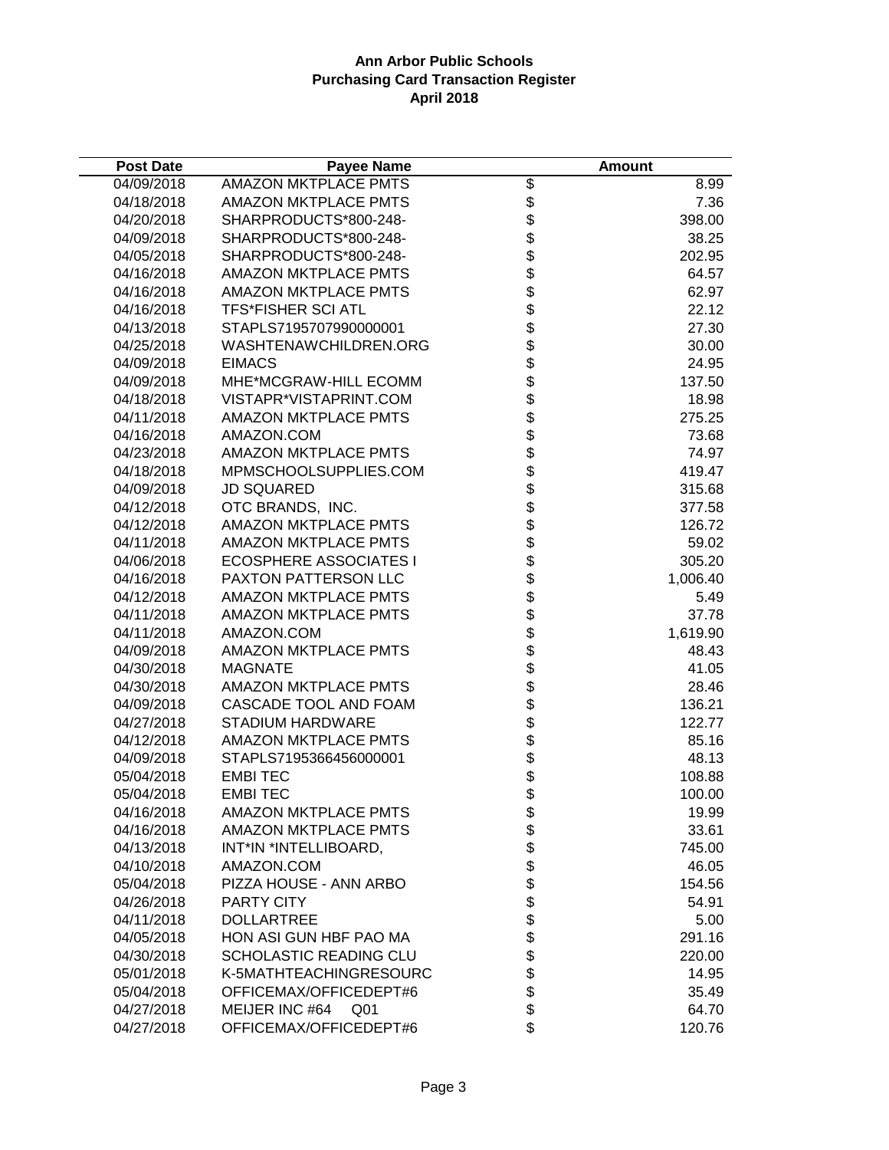| <b>Post Date</b> | <b>Payee Name</b>             |                                          | <b>Amount</b> |
|------------------|-------------------------------|------------------------------------------|---------------|
| 04/09/2018       | <b>AMAZON MKTPLACE PMTS</b>   | \$                                       | 8.99          |
| 04/18/2018       | <b>AMAZON MKTPLACE PMTS</b>   |                                          | 7.36          |
| 04/20/2018       | SHARPRODUCTS*800-248-         | \$<br>\$                                 | 398.00        |
| 04/09/2018       | SHARPRODUCTS*800-248-         | $\ddot{\$}$                              | 38.25         |
| 04/05/2018       | SHARPRODUCTS*800-248-         | $\ddot{\$}$                              | 202.95        |
| 04/16/2018       | <b>AMAZON MKTPLACE PMTS</b>   | \$                                       | 64.57         |
| 04/16/2018       | <b>AMAZON MKTPLACE PMTS</b>   |                                          | 62.97         |
| 04/16/2018       | <b>TFS*FISHER SCI ATL</b>     |                                          | 22.12         |
| 04/13/2018       | STAPLS7195707990000001        | <b>8888888888</b>                        | 27.30         |
| 04/25/2018       | WASHTENAWCHILDREN.ORG         |                                          | 30.00         |
| 04/09/2018       | <b>EIMACS</b>                 |                                          | 24.95         |
| 04/09/2018       | MHE*MCGRAW-HILL ECOMM         |                                          | 137.50        |
| 04/18/2018       | VISTAPR*VISTAPRINT.COM        |                                          | 18.98         |
| 04/11/2018       | <b>AMAZON MKTPLACE PMTS</b>   |                                          | 275.25        |
| 04/16/2018       | AMAZON.COM                    |                                          | 73.68         |
| 04/23/2018       | <b>AMAZON MKTPLACE PMTS</b>   |                                          | 74.97         |
| 04/18/2018       | MPMSCHOOLSUPPLIES.COM         |                                          | 419.47        |
| 04/09/2018       | <b>JD SQUARED</b>             |                                          | 315.68        |
| 04/12/2018       | OTC BRANDS, INC.              |                                          | 377.58        |
| 04/12/2018       | <b>AMAZON MKTPLACE PMTS</b>   |                                          | 126.72        |
| 04/11/2018       | <b>AMAZON MKTPLACE PMTS</b>   |                                          | 59.02         |
| 04/06/2018       | <b>ECOSPHERE ASSOCIATES I</b> |                                          | 305.20        |
| 04/16/2018       | PAXTON PATTERSON LLC          |                                          | 1,006.40      |
| 04/12/2018       | <b>AMAZON MKTPLACE PMTS</b>   |                                          | 5.49          |
| 04/11/2018       | <b>AMAZON MKTPLACE PMTS</b>   | \$\$\$\$\$\$\$\$\$\$\$\$\$\$\$\$\$\$\$\$ | 37.78         |
| 04/11/2018       | AMAZON.COM                    |                                          | 1,619.90      |
| 04/09/2018       | <b>AMAZON MKTPLACE PMTS</b>   |                                          | 48.43         |
| 04/30/2018       | <b>MAGNATE</b>                |                                          | 41.05         |
| 04/30/2018       | <b>AMAZON MKTPLACE PMTS</b>   |                                          | 28.46         |
| 04/09/2018       | CASCADE TOOL AND FOAM         |                                          | 136.21        |
| 04/27/2018       | STADIUM HARDWARE              |                                          | 122.77        |
| 04/12/2018       | <b>AMAZON MKTPLACE PMTS</b>   |                                          | 85.16         |
| 04/09/2018       | STAPLS7195366456000001        |                                          | 48.13         |
| 05/04/2018       | <b>EMBI TEC</b>               |                                          | 108.88        |
| 05/04/2018       | <b>EMBITEC</b>                | \$                                       | 100.00        |
| 04/16/2018       | <b>AMAZON MKTPLACE PMTS</b>   | \$                                       | 19.99         |
| 04/16/2018       | <b>AMAZON MKTPLACE PMTS</b>   |                                          | 33.61         |
| 04/13/2018       | INT*IN *INTELLIBOARD,         | \$\$\$\$\$                               | 745.00        |
| 04/10/2018       | AMAZON.COM                    |                                          | 46.05         |
| 05/04/2018       | PIZZA HOUSE - ANN ARBO        |                                          | 154.56        |
| 04/26/2018       | <b>PARTY CITY</b>             |                                          | 54.91         |
| 04/11/2018       | <b>DOLLARTREE</b>             |                                          | 5.00          |
| 04/05/2018       | HON ASI GUN HBF PAO MA        |                                          | 291.16        |
| 04/30/2018       | SCHOLASTIC READING CLU        | \$\$\$\$\$                               | 220.00        |
| 05/01/2018       | K-5MATHTEACHINGRESOURC        |                                          | 14.95         |
| 05/04/2018       | OFFICEMAX/OFFICEDEPT#6        |                                          | 35.49         |
| 04/27/2018       | MEIJER INC #64<br>Q01         | \$                                       | 64.70         |
| 04/27/2018       | OFFICEMAX/OFFICEDEPT#6        | \$                                       | 120.76        |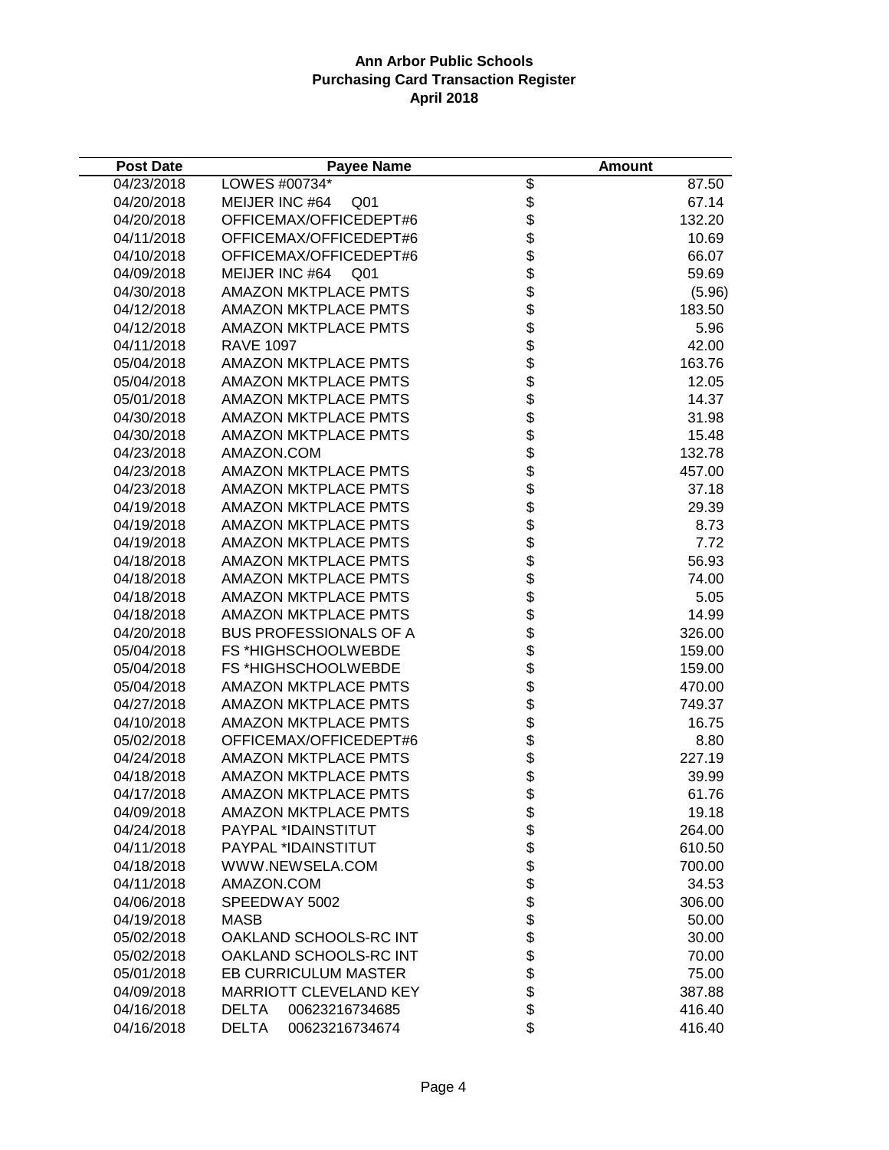| <b>Post Date</b> | <b>Payee Name</b>                 |                                                                    | <b>Amount</b> |
|------------------|-----------------------------------|--------------------------------------------------------------------|---------------|
| 04/23/2018       | LOWES #00734*                     | \$                                                                 | 87.50         |
| 04/20/2018       | MEIJER INC #64<br>Q <sub>01</sub> |                                                                    | 67.14         |
| 04/20/2018       | OFFICEMAX/OFFICEDEPT#6            | \$\$                                                               | 132.20        |
| 04/11/2018       | OFFICEMAX/OFFICEDEPT#6            |                                                                    | 10.69         |
| 04/10/2018       | OFFICEMAX/OFFICEDEPT#6            | \$                                                                 | 66.07         |
| 04/09/2018       | MEIJER INC #64<br>Q <sub>01</sub> |                                                                    | 59.69         |
| 04/30/2018       | <b>AMAZON MKTPLACE PMTS</b>       |                                                                    | (5.96)        |
| 04/12/2018       | <b>AMAZON MKTPLACE PMTS</b>       |                                                                    | 183.50        |
| 04/12/2018       | <b>AMAZON MKTPLACE PMTS</b>       |                                                                    | 5.96          |
| 04/11/2018       | <b>RAVE 1097</b>                  |                                                                    | 42.00         |
| 05/04/2018       | <b>AMAZON MKTPLACE PMTS</b>       |                                                                    | 163.76        |
| 05/04/2018       | <b>AMAZON MKTPLACE PMTS</b>       |                                                                    | 12.05         |
| 05/01/2018       | <b>AMAZON MKTPLACE PMTS</b>       |                                                                    | 14.37         |
| 04/30/2018       | <b>AMAZON MKTPLACE PMTS</b>       |                                                                    | 31.98         |
| 04/30/2018       | <b>AMAZON MKTPLACE PMTS</b>       |                                                                    | 15.48         |
| 04/23/2018       | AMAZON.COM                        |                                                                    | 132.78        |
| 04/23/2018       | <b>AMAZON MKTPLACE PMTS</b>       |                                                                    | 457.00        |
| 04/23/2018       | <b>AMAZON MKTPLACE PMTS</b>       |                                                                    | 37.18         |
| 04/19/2018       | <b>AMAZON MKTPLACE PMTS</b>       |                                                                    | 29.39         |
| 04/19/2018       | <b>AMAZON MKTPLACE PMTS</b>       |                                                                    | 8.73          |
| 04/19/2018       | <b>AMAZON MKTPLACE PMTS</b>       |                                                                    | 7.72          |
| 04/18/2018       | <b>AMAZON MKTPLACE PMTS</b>       |                                                                    | 56.93         |
| 04/18/2018       | AMAZON MKTPLACE PMTS              |                                                                    | 74.00         |
| 04/18/2018       | <b>AMAZON MKTPLACE PMTS</b>       | \$\$\$\$\$\$\$\$\$\$\$\$\$\$\$\$\$\$\$\$\$\$\$\$\$\$\$\$\$\$\$\$\$ | 5.05          |
| 04/18/2018       | <b>AMAZON MKTPLACE PMTS</b>       |                                                                    | 14.99         |
| 04/20/2018       | <b>BUS PROFESSIONALS OF A</b>     |                                                                    | 326.00        |
| 05/04/2018       | FS *HIGHSCHOOLWEBDE               |                                                                    | 159.00        |
| 05/04/2018       | FS *HIGHSCHOOLWEBDE               |                                                                    | 159.00        |
| 05/04/2018       | <b>AMAZON MKTPLACE PMTS</b>       |                                                                    | 470.00        |
| 04/27/2018       | <b>AMAZON MKTPLACE PMTS</b>       |                                                                    | 749.37        |
| 04/10/2018       | <b>AMAZON MKTPLACE PMTS</b>       |                                                                    | 16.75         |
| 05/02/2018       | OFFICEMAX/OFFICEDEPT#6            |                                                                    | 8.80          |
| 04/24/2018       | <b>AMAZON MKTPLACE PMTS</b>       |                                                                    | 227.19        |
| 04/18/2018       | <b>AMAZON MKTPLACE PMTS</b>       |                                                                    | 39.99         |
| 04/17/2018       | <b>AMAZON MKTPLACE PMTS</b>       | \$                                                                 | 61.76         |
| 04/09/2018       | <b>AMAZON MKTPLACE PMTS</b>       |                                                                    | 19.18         |
| 04/24/2018       | PAYPAL *IDAINSTITUT               |                                                                    | 264.00        |
| 04/11/2018       | PAYPAL *IDAINSTITUT               |                                                                    | 610.50        |
| 04/18/2018       | WWW.NEWSELA.COM                   |                                                                    | 700.00        |
| 04/11/2018       | AMAZON.COM                        |                                                                    | 34.53         |
| 04/06/2018       | SPEEDWAY 5002                     |                                                                    | 306.00        |
| 04/19/2018       | <b>MASB</b>                       | \$\$\$\$\$\$\$\$\$\$\$\$\$\$                                       | 50.00         |
| 05/02/2018       | OAKLAND SCHOOLS-RC INT            |                                                                    | 30.00         |
| 05/02/2018       | OAKLAND SCHOOLS-RC INT            |                                                                    | 70.00         |
| 05/01/2018       | EB CURRICULUM MASTER              |                                                                    | 75.00         |
| 04/09/2018       | MARRIOTT CLEVELAND KEY            |                                                                    | 387.88        |
| 04/16/2018       | 00623216734685<br><b>DELTA</b>    |                                                                    | 416.40        |
| 04/16/2018       | <b>DELTA</b><br>00623216734674    | \$                                                                 | 416.40        |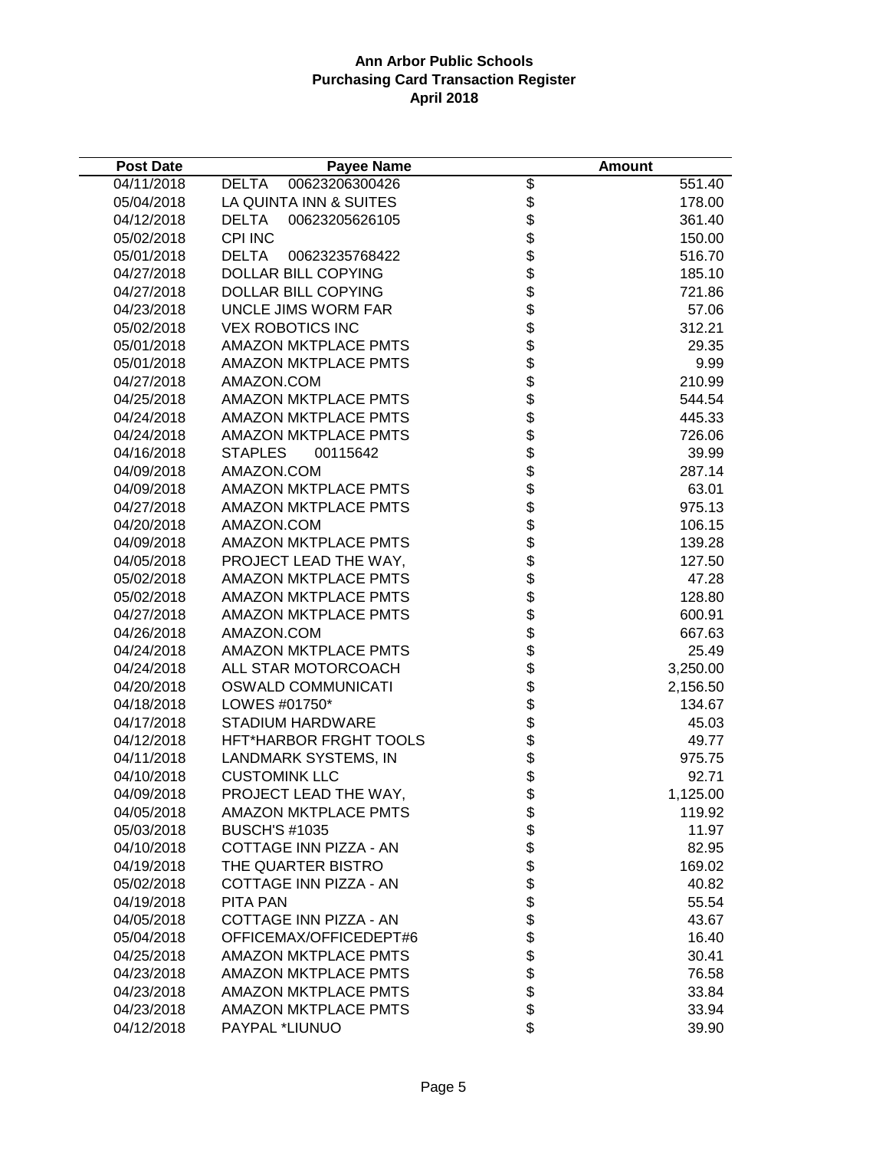| <b>Post Date</b> | <b>Payee Name</b>              |                                    | <b>Amount</b> |
|------------------|--------------------------------|------------------------------------|---------------|
| 04/11/2018       | 00623206300426<br><b>DELTA</b> |                                    | 551.40        |
| 05/04/2018       | LA QUINTA INN & SUITES         |                                    | 178.00        |
| 04/12/2018       | <b>DELTA</b><br>00623205626105 |                                    | 361.40        |
| 05/02/2018       | <b>CPI INC</b>                 |                                    | 150.00        |
| 05/01/2018       | <b>DELTA</b><br>00623235768422 |                                    | 516.70        |
| 04/27/2018       | <b>DOLLAR BILL COPYING</b>     |                                    | 185.10        |
| 04/27/2018       | <b>DOLLAR BILL COPYING</b>     |                                    | 721.86        |
| 04/23/2018       | UNCLE JIMS WORM FAR            |                                    | 57.06         |
| 05/02/2018       | <b>VEX ROBOTICS INC</b>        |                                    | 312.21        |
| 05/01/2018       | <b>AMAZON MKTPLACE PMTS</b>    |                                    | 29.35         |
| 05/01/2018       | <b>AMAZON MKTPLACE PMTS</b>    |                                    | 9.99          |
| 04/27/2018       | AMAZON.COM                     |                                    | 210.99        |
| 04/25/2018       | <b>AMAZON MKTPLACE PMTS</b>    |                                    | 544.54        |
| 04/24/2018       | AMAZON MKTPLACE PMTS           |                                    | 445.33        |
| 04/24/2018       | <b>AMAZON MKTPLACE PMTS</b>    |                                    | 726.06        |
| 04/16/2018       | <b>STAPLES</b><br>00115642     |                                    | 39.99         |
| 04/09/2018       | AMAZON.COM                     |                                    | 287.14        |
| 04/09/2018       | <b>AMAZON MKTPLACE PMTS</b>    |                                    | 63.01         |
| 04/27/2018       | <b>AMAZON MKTPLACE PMTS</b>    |                                    | 975.13        |
| 04/20/2018       | AMAZON.COM                     |                                    | 106.15        |
| 04/09/2018       | <b>AMAZON MKTPLACE PMTS</b>    |                                    | 139.28        |
| 04/05/2018       | PROJECT LEAD THE WAY,          |                                    | 127.50        |
| 05/02/2018       | AMAZON MKTPLACE PMTS           |                                    | 47.28         |
| 05/02/2018       | AMAZON MKTPLACE PMTS           |                                    | 128.80        |
| 04/27/2018       | <b>AMAZON MKTPLACE PMTS</b>    |                                    | 600.91        |
| 04/26/2018       | AMAZON.COM                     |                                    | 667.63        |
| 04/24/2018       | <b>AMAZON MKTPLACE PMTS</b>    |                                    | 25.49         |
| 04/24/2018       | ALL STAR MOTORCOACH            |                                    | 3,250.00      |
| 04/20/2018       | <b>OSWALD COMMUNICATI</b>      |                                    | 2,156.50      |
| 04/18/2018       | LOWES #01750*                  |                                    | 134.67        |
| 04/17/2018       | STADIUM HARDWARE               |                                    | 45.03         |
| 04/12/2018       | HFT*HARBOR FRGHT TOOLS         |                                    | 49.77         |
| 04/11/2018       | <b>LANDMARK SYSTEMS, IN</b>    |                                    | 975.75        |
| 04/10/2018       | <b>CUSTOMINK LLC</b>           |                                    | 92.71         |
| 04/09/2018       | PROJECT LEAD THE WAY,          |                                    | 1,125.00      |
| 04/05/2018       | <b>AMAZON MKTPLACE PMTS</b>    |                                    | 119.92        |
| 05/03/2018       | <b>BUSCH'S #1035</b>           |                                    | 11.97         |
| 04/10/2018       | COTTAGE INN PIZZA - AN         |                                    | 82.95         |
| 04/19/2018       | THE QUARTER BISTRO             |                                    | 169.02        |
| 05/02/2018       | COTTAGE INN PIZZA - AN         |                                    | 40.82         |
| 04/19/2018       | PITA PAN                       |                                    | 55.54         |
| 04/05/2018       | COTTAGE INN PIZZA - AN         | \$\$\$\$\$\$\$\$\$\$\$\$\$\$\$\$\$ | 43.67         |
| 05/04/2018       | OFFICEMAX/OFFICEDEPT#6         |                                    | 16.40         |
| 04/25/2018       | <b>AMAZON MKTPLACE PMTS</b>    |                                    | 30.41         |
| 04/23/2018       | <b>AMAZON MKTPLACE PMTS</b>    |                                    | 76.58         |
| 04/23/2018       | <b>AMAZON MKTPLACE PMTS</b>    |                                    | 33.84         |
| 04/23/2018       | <b>AMAZON MKTPLACE PMTS</b>    |                                    | 33.94         |
| 04/12/2018       | PAYPAL *LIUNUO                 |                                    | 39.90         |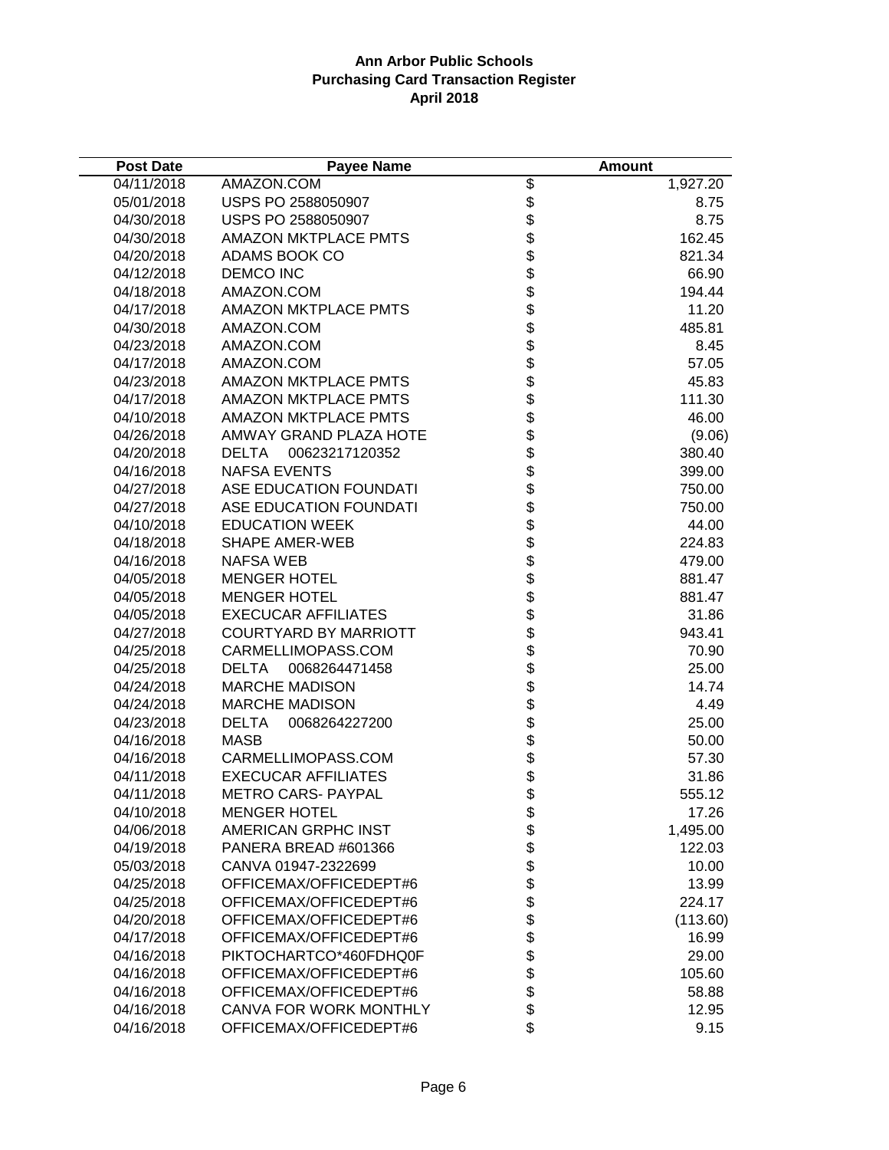| <b>Post Date</b> | <b>Payee Name</b>             |                                          | <b>Amount</b> |
|------------------|-------------------------------|------------------------------------------|---------------|
| 04/11/2018       | AMAZON.COM                    | \$                                       | 1,927.20      |
| 05/01/2018       | USPS PO 2588050907            |                                          | 8.75          |
| 04/30/2018       | USPS PO 2588050907            | \$\$\$\$\$\$\$\$\$\$\$\$\$\$\$\$\$\$\$\$ | 8.75          |
| 04/30/2018       | <b>AMAZON MKTPLACE PMTS</b>   |                                          | 162.45        |
| 04/20/2018       | ADAMS BOOK CO                 |                                          | 821.34        |
| 04/12/2018       | <b>DEMCO INC</b>              |                                          | 66.90         |
| 04/18/2018       | AMAZON.COM                    |                                          | 194.44        |
| 04/17/2018       | <b>AMAZON MKTPLACE PMTS</b>   |                                          | 11.20         |
| 04/30/2018       | AMAZON.COM                    |                                          | 485.81        |
| 04/23/2018       | AMAZON.COM                    |                                          | 8.45          |
| 04/17/2018       | AMAZON.COM                    |                                          | 57.05         |
| 04/23/2018       | <b>AMAZON MKTPLACE PMTS</b>   |                                          | 45.83         |
| 04/17/2018       | <b>AMAZON MKTPLACE PMTS</b>   |                                          | 111.30        |
| 04/10/2018       | <b>AMAZON MKTPLACE PMTS</b>   |                                          | 46.00         |
| 04/26/2018       | AMWAY GRAND PLAZA HOTE        |                                          | (9.06)        |
| 04/20/2018       | 00623217120352<br>DELTA       |                                          | 380.40        |
| 04/16/2018       | <b>NAFSA EVENTS</b>           |                                          | 399.00        |
| 04/27/2018       | ASE EDUCATION FOUNDATI        |                                          | 750.00        |
| 04/27/2018       | ASE EDUCATION FOUNDATI        |                                          | 750.00        |
| 04/10/2018       | <b>EDUCATION WEEK</b>         |                                          | 44.00         |
| 04/18/2018       | <b>SHAPE AMER-WEB</b>         |                                          | 224.83        |
| 04/16/2018       | <b>NAFSA WEB</b>              |                                          | 479.00        |
| 04/05/2018       | <b>MENGER HOTEL</b>           |                                          | 881.47        |
| 04/05/2018       | <b>MENGER HOTEL</b>           | ୫୫୫୫୫୫୫୫୫୫୫୫୫୫୫                          | 881.47        |
| 04/05/2018       | <b>EXECUCAR AFFILIATES</b>    |                                          | 31.86         |
| 04/27/2018       | <b>COURTYARD BY MARRIOTT</b>  |                                          | 943.41        |
| 04/25/2018       | CARMELLIMOPASS.COM            |                                          | 70.90         |
| 04/25/2018       | <b>DELTA</b><br>0068264471458 |                                          | 25.00         |
| 04/24/2018       | <b>MARCHE MADISON</b>         |                                          | 14.74         |
| 04/24/2018       | <b>MARCHE MADISON</b>         |                                          | 4.49          |
| 04/23/2018       | DELTA<br>0068264227200        |                                          | 25.00         |
| 04/16/2018       | <b>MASB</b>                   |                                          | 50.00         |
| 04/16/2018       | CARMELLIMOPASS.COM            |                                          | 57.30         |
| 04/11/2018       | <b>EXECUCAR AFFILIATES</b>    |                                          | 31.86         |
| 04/11/2018       | <b>METRO CARS- PAYPAL</b>     |                                          | 555.12        |
| 04/10/2018       | <b>MENGER HOTEL</b>           |                                          | 17.26         |
| 04/06/2018       | <b>AMERICAN GRPHC INST</b>    |                                          | 1,495.00      |
| 04/19/2018       | PANERA BREAD #601366          |                                          | 122.03        |
| 05/03/2018       | CANVA 01947-2322699           |                                          | 10.00         |
| 04/25/2018       | OFFICEMAX/OFFICEDEPT#6        |                                          | 13.99         |
| 04/25/2018       | OFFICEMAX/OFFICEDEPT#6        |                                          | 224.17        |
| 04/20/2018       | OFFICEMAX/OFFICEDEPT#6        | \$\$\$\$\$\$\$\$                         | (113.60)      |
| 04/17/2018       | OFFICEMAX/OFFICEDEPT#6        | \$                                       | 16.99         |
| 04/16/2018       | PIKTOCHARTCO*460FDHQ0F        |                                          | 29.00         |
| 04/16/2018       | OFFICEMAX/OFFICEDEPT#6        | \$\$\$\$                                 | 105.60        |
| 04/16/2018       | OFFICEMAX/OFFICEDEPT#6        |                                          | 58.88         |
| 04/16/2018       | CANVA FOR WORK MONTHLY        |                                          | 12.95         |
| 04/16/2018       | OFFICEMAX/OFFICEDEPT#6        | \$                                       | 9.15          |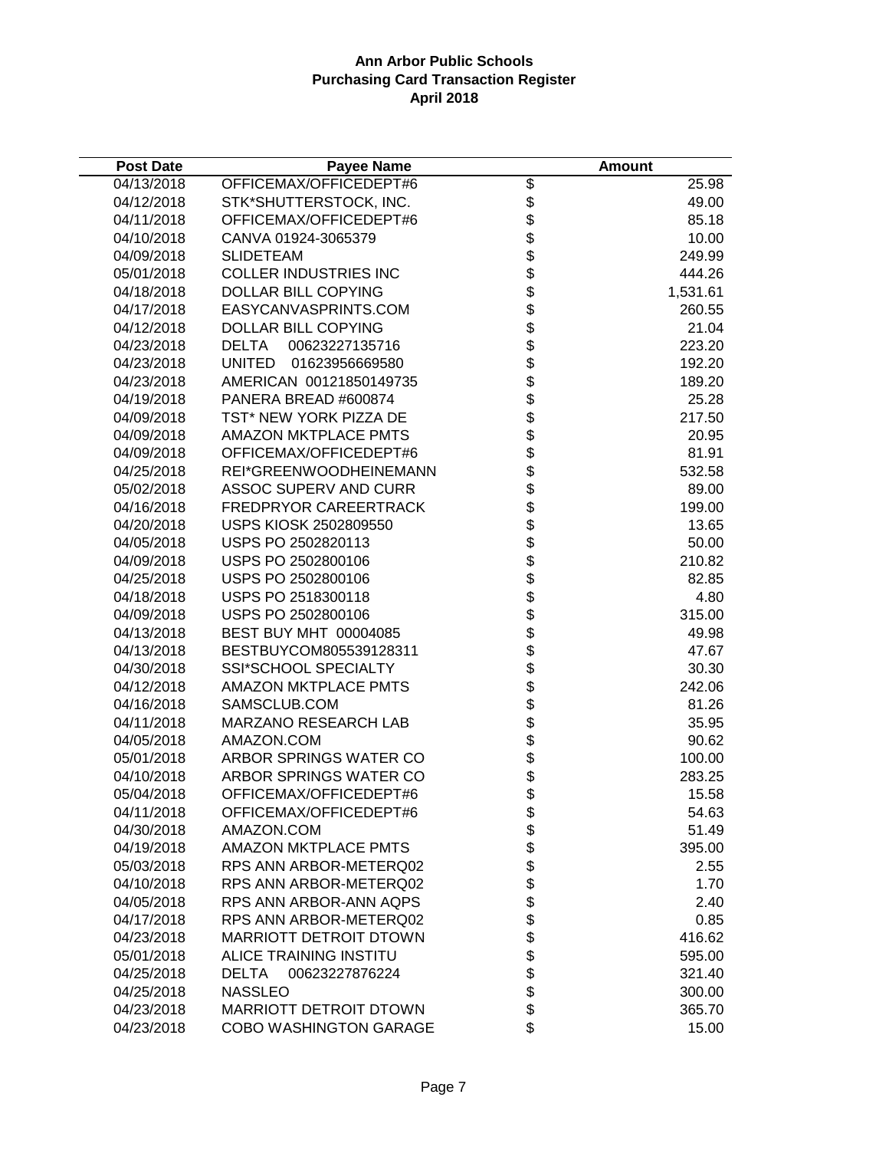| <b>Post Date</b> | <b>Payee Name</b>              |                   | Amount   |
|------------------|--------------------------------|-------------------|----------|
| 04/13/2018       | OFFICEMAX/OFFICEDEPT#6         | \$                | 25.98    |
| 04/12/2018       | STK*SHUTTERSTOCK, INC.         | \$                | 49.00    |
| 04/11/2018       | OFFICEMAX/OFFICEDEPT#6         | \$                | 85.18    |
| 04/10/2018       | CANVA 01924-3065379            | \$                | 10.00    |
| 04/09/2018       | <b>SLIDETEAM</b>               | \$                | 249.99   |
| 05/01/2018       | <b>COLLER INDUSTRIES INC</b>   |                   | 444.26   |
| 04/18/2018       | <b>DOLLAR BILL COPYING</b>     |                   | 1,531.61 |
| 04/17/2018       | EASYCANVASPRINTS.COM           |                   | 260.55   |
| 04/12/2018       | DOLLAR BILL COPYING            | <b>888888888</b>  | 21.04    |
| 04/23/2018       | <b>DELTA</b><br>00623227135716 |                   | 223.20   |
| 04/23/2018       | UNITED<br>01623956669580       |                   | 192.20   |
| 04/23/2018       | AMERICAN 00121850149735        |                   | 189.20   |
| 04/19/2018       | PANERA BREAD #600874           |                   | 25.28    |
| 04/09/2018       | TST* NEW YORK PIZZA DE         |                   | 217.50   |
| 04/09/2018       | <b>AMAZON MKTPLACE PMTS</b>    |                   | 20.95    |
| 04/09/2018       | OFFICEMAX/OFFICEDEPT#6         |                   | 81.91    |
| 04/25/2018       | REI*GREENWOODHEINEMANN         | \$                | 532.58   |
| 05/02/2018       | <b>ASSOC SUPERV AND CURR</b>   | \$                | 89.00    |
| 04/16/2018       | <b>FREDPRYOR CAREERTRACK</b>   | \$                | 199.00   |
| 04/20/2018       | <b>USPS KIOSK 2502809550</b>   | \$                | 13.65    |
| 04/05/2018       | USPS PO 2502820113             | \$                | 50.00    |
| 04/09/2018       | USPS PO 2502800106             |                   | 210.82   |
| 04/25/2018       | USPS PO 2502800106             |                   | 82.85    |
| 04/18/2018       | USPS PO 2518300118             | <b>おおおおおおおおおお</b> | 4.80     |
| 04/09/2018       | USPS PO 2502800106             |                   | 315.00   |
| 04/13/2018       | BEST BUY MHT 00004085          |                   | 49.98    |
| 04/13/2018       | BESTBUYCOM805539128311         |                   | 47.67    |
| 04/30/2018       | SSI*SCHOOL SPECIALTY           |                   | 30.30    |
| 04/12/2018       | <b>AMAZON MKTPLACE PMTS</b>    |                   | 242.06   |
| 04/16/2018       | SAMSCLUB.COM                   |                   | 81.26    |
| 04/11/2018       | MARZANO RESEARCH LAB           |                   | 35.95    |
| 04/05/2018       | AMAZON.COM                     |                   | 90.62    |
| 05/01/2018       | ARBOR SPRINGS WATER CO         | \$                | 100.00   |
| 04/10/2018       | ARBOR SPRINGS WATER CO         | \$                | 283.25   |
| 05/04/2018       | OFFICEMAX/OFFICEDEPT#6         | \$                | 15.58    |
| 04/11/2018       | OFFICEMAX/OFFICEDEPT#6         | \$                | 54.63    |
| 04/30/2018       | AMAZON.COM                     | \$                | 51.49    |
| 04/19/2018       | <b>AMAZON MKTPLACE PMTS</b>    |                   | 395.00   |
| 05/03/2018       | RPS ANN ARBOR-METERQ02         | \$<br>\$          | 2.55     |
| 04/10/2018       | RPS ANN ARBOR-METERQ02         | \$                | 1.70     |
| 04/05/2018       | RPS ANN ARBOR-ANN AQPS         | \$                | 2.40     |
| 04/17/2018       | RPS ANN ARBOR-METERQ02         | \$                | 0.85     |
| 04/23/2018       | <b>MARRIOTT DETROIT DTOWN</b>  | \$                | 416.62   |
| 05/01/2018       | ALICE TRAINING INSTITU         |                   | 595.00   |
| 04/25/2018       | <b>DELTA</b><br>00623227876224 | \$\$              | 321.40   |
| 04/25/2018       | <b>NASSLEO</b>                 |                   | 300.00   |
| 04/23/2018       | <b>MARRIOTT DETROIT DTOWN</b>  | \$                | 365.70   |
| 04/23/2018       | COBO WASHINGTON GARAGE         | \$                | 15.00    |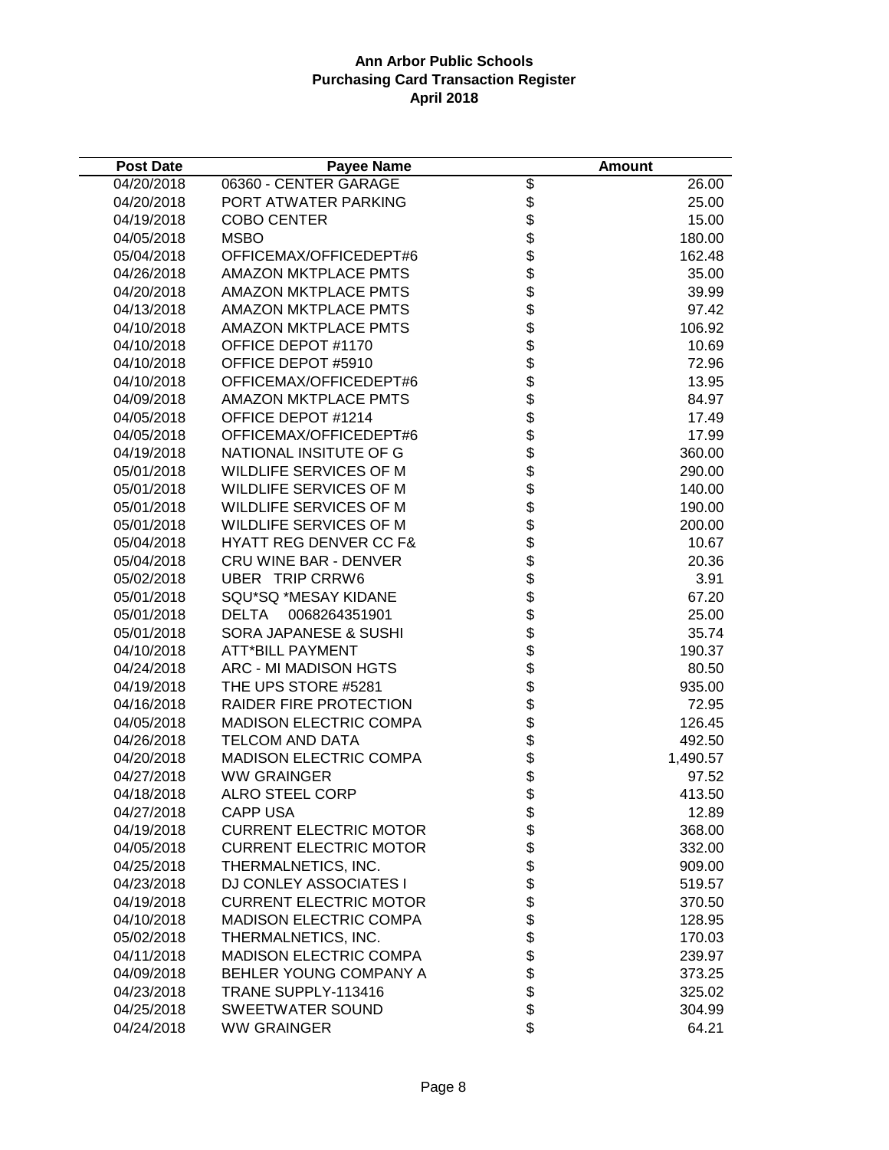| <b>Post Date</b> | <b>Payee Name</b>                 |                                                                                                               | <b>Amount</b> |
|------------------|-----------------------------------|---------------------------------------------------------------------------------------------------------------|---------------|
| 04/20/2018       | 06360 - CENTER GARAGE             | $\overline{\mathcal{G}}$                                                                                      | 26.00         |
| 04/20/2018       | PORT ATWATER PARKING              |                                                                                                               | 25.00         |
| 04/19/2018       | <b>COBO CENTER</b>                |                                                                                                               | 15.00         |
| 04/05/2018       | <b>MSBO</b>                       |                                                                                                               | 180.00        |
| 05/04/2018       | OFFICEMAX/OFFICEDEPT#6            |                                                                                                               | 162.48        |
| 04/26/2018       | <b>AMAZON MKTPLACE PMTS</b>       |                                                                                                               | 35.00         |
| 04/20/2018       | <b>AMAZON MKTPLACE PMTS</b>       |                                                                                                               | 39.99         |
| 04/13/2018       | <b>AMAZON MKTPLACE PMTS</b>       |                                                                                                               | 97.42         |
| 04/10/2018       | <b>AMAZON MKTPLACE PMTS</b>       |                                                                                                               | 106.92        |
| 04/10/2018       | OFFICE DEPOT #1170                |                                                                                                               | 10.69         |
| 04/10/2018       | OFFICE DEPOT #5910                |                                                                                                               | 72.96         |
| 04/10/2018       | OFFICEMAX/OFFICEDEPT#6            |                                                                                                               | 13.95         |
| 04/09/2018       | <b>AMAZON MKTPLACE PMTS</b>       |                                                                                                               | 84.97         |
| 04/05/2018       | OFFICE DEPOT #1214                |                                                                                                               | 17.49         |
| 04/05/2018       | OFFICEMAX/OFFICEDEPT#6            |                                                                                                               | 17.99         |
| 04/19/2018       | NATIONAL INSITUTE OF G            |                                                                                                               | 360.00        |
| 05/01/2018       | WILDLIFE SERVICES OF M            |                                                                                                               | 290.00        |
| 05/01/2018       | WILDLIFE SERVICES OF M            |                                                                                                               | 140.00        |
| 05/01/2018       | WILDLIFE SERVICES OF M            |                                                                                                               | 190.00        |
| 05/01/2018       | <b>WILDLIFE SERVICES OF M</b>     |                                                                                                               | 200.00        |
| 05/04/2018       | <b>HYATT REG DENVER CC F&amp;</b> |                                                                                                               | 10.67         |
| 05/04/2018       | <b>CRU WINE BAR - DENVER</b>      |                                                                                                               | 20.36         |
| 05/02/2018       | <b>UBER TRIP CRRW6</b>            |                                                                                                               | 3.91          |
| 05/01/2018       | SQU*SQ *MESAY KIDANE              |                                                                                                               | 67.20         |
| 05/01/2018       | DELTA<br>0068264351901            | ֍֍֍֍֍֍֍֍֍֍֍֍֍֍֍֍֍֍֍֍֍֍֍֍֍֍֍֍֍֍֍֍                                                                              | 25.00         |
| 05/01/2018       | <b>SORA JAPANESE &amp; SUSHI</b>  |                                                                                                               | 35.74         |
| 04/10/2018       | <b>ATT*BILL PAYMENT</b>           |                                                                                                               | 190.37        |
| 04/24/2018       | ARC - MI MADISON HGTS             |                                                                                                               | 80.50         |
| 04/19/2018       | THE UPS STORE #5281               |                                                                                                               | 935.00        |
| 04/16/2018       | RAIDER FIRE PROTECTION            |                                                                                                               | 72.95         |
| 04/05/2018       | <b>MADISON ELECTRIC COMPA</b>     |                                                                                                               | 126.45        |
| 04/26/2018       | TELCOM AND DATA                   |                                                                                                               | 492.50        |
| 04/20/2018       | <b>MADISON ELECTRIC COMPA</b>     |                                                                                                               | 1,490.57      |
| 04/27/2018       | <b>WW GRAINGER</b>                |                                                                                                               | 97.52         |
| 04/18/2018       | <b>ALRO STEEL CORP</b>            | \$                                                                                                            | 413.50        |
| 04/27/2018       | <b>CAPP USA</b>                   |                                                                                                               | 12.89         |
| 04/19/2018       | <b>CURRENT ELECTRIC MOTOR</b>     |                                                                                                               | 368.00        |
| 04/05/2018       | <b>CURRENT ELECTRIC MOTOR</b>     |                                                                                                               | 332.00        |
| 04/25/2018       | THERMALNETICS, INC.               |                                                                                                               | 909.00        |
| 04/23/2018       | DJ CONLEY ASSOCIATES I            |                                                                                                               | 519.57        |
| 04/19/2018       | <b>CURRENT ELECTRIC MOTOR</b>     |                                                                                                               | 370.50        |
| 04/10/2018       | <b>MADISON ELECTRIC COMPA</b>     | 8 8 8 8 8 8 8 9 8 8 9 8 8 9 8 8 9 8 8 9 8 8 8 9 8 8 9 8 8 9 8 8 9 8 8 9 8 9 8 9 8 9 8 9 8 9 8 9 8 9 8 9 8 9 8 | 128.95        |
| 05/02/2018       | THERMALNETICS, INC.               |                                                                                                               | 170.03        |
| 04/11/2018       | <b>MADISON ELECTRIC COMPA</b>     |                                                                                                               | 239.97        |
| 04/09/2018       | BEHLER YOUNG COMPANY A            |                                                                                                               | 373.25        |
| 04/23/2018       | TRANE SUPPLY-113416               |                                                                                                               | 325.02        |
| 04/25/2018       | SWEETWATER SOUND                  |                                                                                                               | 304.99        |
| 04/24/2018       | <b>WW GRAINGER</b>                |                                                                                                               | 64.21         |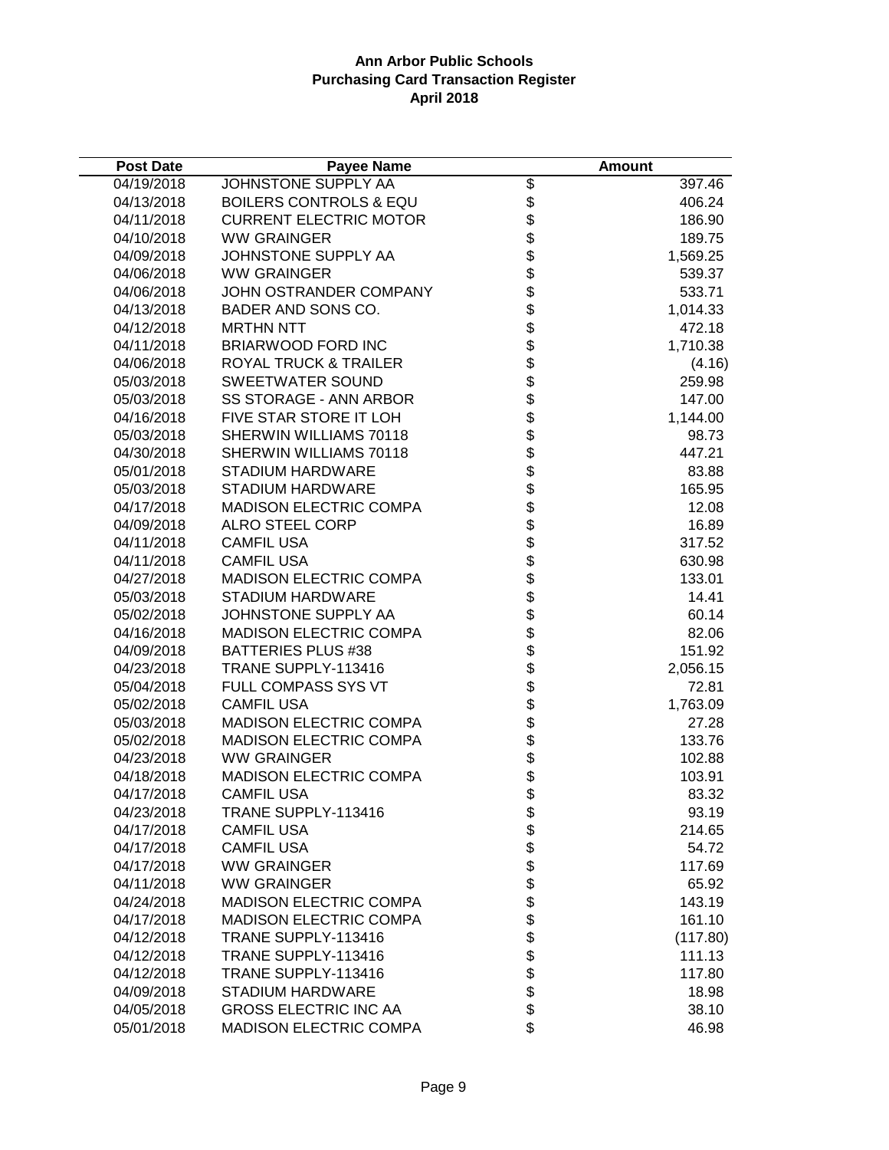| <b>Post Date</b> | <b>Payee Name</b>                 |                                                                      | <b>Amount</b> |
|------------------|-----------------------------------|----------------------------------------------------------------------|---------------|
| 04/19/2018       | JOHNSTONE SUPPLY AA               | $\overline{\mathcal{E}}$                                             | 397.46        |
| 04/13/2018       | <b>BOILERS CONTROLS &amp; EQU</b> |                                                                      | 406.24        |
| 04/11/2018       | <b>CURRENT ELECTRIC MOTOR</b>     | \$\$                                                                 | 186.90        |
| 04/10/2018       | <b>WW GRAINGER</b>                |                                                                      | 189.75        |
| 04/09/2018       | JOHNSTONE SUPPLY AA               |                                                                      | 1,569.25      |
| 04/06/2018       | <b>WW GRAINGER</b>                |                                                                      | 539.37        |
| 04/06/2018       | JOHN OSTRANDER COMPANY            |                                                                      | 533.71        |
| 04/13/2018       | BADER AND SONS CO.                |                                                                      | 1,014.33      |
| 04/12/2018       | <b>MRTHN NTT</b>                  |                                                                      | 472.18        |
| 04/11/2018       | <b>BRIARWOOD FORD INC</b>         |                                                                      | 1,710.38      |
| 04/06/2018       | ROYAL TRUCK & TRAILER             |                                                                      | (4.16)        |
| 05/03/2018       | SWEETWATER SOUND                  |                                                                      | 259.98        |
| 05/03/2018       | SS STORAGE - ANN ARBOR            |                                                                      | 147.00        |
| 04/16/2018       | FIVE STAR STORE IT LOH            |                                                                      | 1,144.00      |
| 05/03/2018       | SHERWIN WILLIAMS 70118            |                                                                      | 98.73         |
| 04/30/2018       | SHERWIN WILLIAMS 70118            |                                                                      | 447.21        |
| 05/01/2018       | STADIUM HARDWARE                  |                                                                      | 83.88         |
| 05/03/2018       | STADIUM HARDWARE                  |                                                                      | 165.95        |
| 04/17/2018       | <b>MADISON ELECTRIC COMPA</b>     |                                                                      | 12.08         |
| 04/09/2018       | <b>ALRO STEEL CORP</b>            |                                                                      | 16.89         |
| 04/11/2018       | <b>CAMFIL USA</b>                 |                                                                      | 317.52        |
| 04/11/2018       | <b>CAMFIL USA</b>                 | \$\$\$\$\$\$\$\$\$\$\$\$\$\$\$\$\$\$\$\$\$\$\$\$\$\$\$\$\$\$\$\$\$\$ | 630.98        |
| 04/27/2018       | MADISON ELECTRIC COMPA            |                                                                      | 133.01        |
| 05/03/2018       | <b>STADIUM HARDWARE</b>           |                                                                      | 14.41         |
| 05/02/2018       | JOHNSTONE SUPPLY AA               |                                                                      | 60.14         |
| 04/16/2018       | <b>MADISON ELECTRIC COMPA</b>     |                                                                      | 82.06         |
| 04/09/2018       | <b>BATTERIES PLUS #38</b>         |                                                                      | 151.92        |
| 04/23/2018       | TRANE SUPPLY-113416               |                                                                      | 2,056.15      |
| 05/04/2018       | FULL COMPASS SYS VT               |                                                                      | 72.81         |
| 05/02/2018       | <b>CAMFIL USA</b>                 |                                                                      | 1,763.09      |
| 05/03/2018       | <b>MADISON ELECTRIC COMPA</b>     |                                                                      | 27.28         |
| 05/02/2018       | <b>MADISON ELECTRIC COMPA</b>     |                                                                      | 133.76        |
| 04/23/2018       | <b>WW GRAINGER</b>                |                                                                      | 102.88        |
| 04/18/2018       | MADISON ELECTRIC COMPA            |                                                                      | 103.91        |
| 04/17/2018       | <b>CAMFIL USA</b>                 | \$                                                                   | 83.32         |
| 04/23/2018       | TRANE SUPPLY-113416               |                                                                      | 93.19         |
| 04/17/2018       | <b>CAMFIL USA</b>                 |                                                                      | 214.65        |
| 04/17/2018       | <b>CAMFIL USA</b>                 |                                                                      | 54.72         |
| 04/17/2018       | <b>WW GRAINGER</b>                |                                                                      | 117.69        |
| 04/11/2018       | <b>WW GRAINGER</b>                |                                                                      | 65.92         |
| 04/24/2018       | <b>MADISON ELECTRIC COMPA</b>     |                                                                      | 143.19        |
| 04/17/2018       | <b>MADISON ELECTRIC COMPA</b>     | <b>8888888888888888888888</b>                                        | 161.10        |
| 04/12/2018       | TRANE SUPPLY-113416               |                                                                      | (117.80)      |
| 04/12/2018       | TRANE SUPPLY-113416               |                                                                      | 111.13        |
| 04/12/2018       | TRANE SUPPLY-113416               |                                                                      | 117.80        |
| 04/09/2018       | <b>STADIUM HARDWARE</b>           |                                                                      | 18.98         |
| 04/05/2018       | <b>GROSS ELECTRIC INC AA</b>      |                                                                      | 38.10         |
| 05/01/2018       | <b>MADISON ELECTRIC COMPA</b>     | \$                                                                   | 46.98         |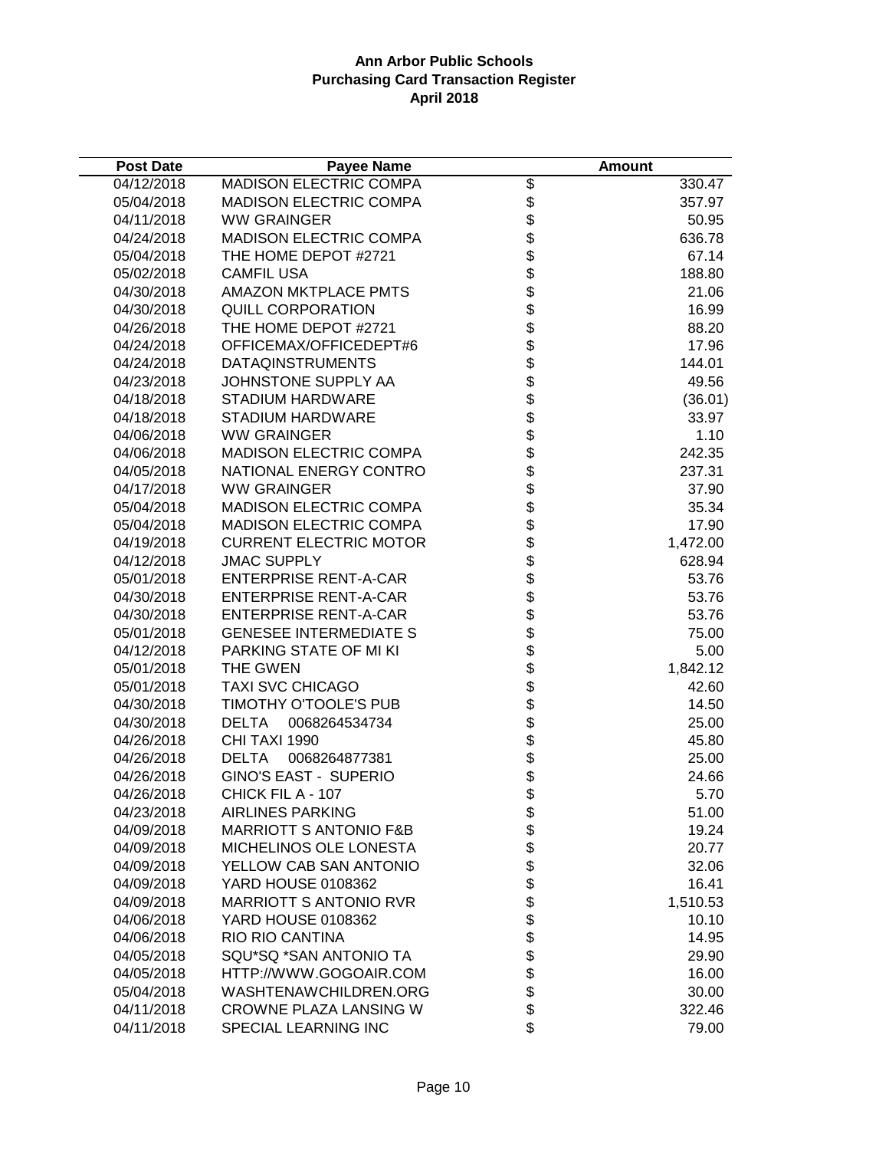| <b>Post Date</b> | <b>Payee Name</b>                 |                     | <b>Amount</b> |
|------------------|-----------------------------------|---------------------|---------------|
| 04/12/2018       | <b>MADISON ELECTRIC COMPA</b>     | \$                  | 330.47        |
| 05/04/2018       | <b>MADISON ELECTRIC COMPA</b>     | \$                  | 357.97        |
| 04/11/2018       | <b>WW GRAINGER</b>                | \$                  | 50.95         |
| 04/24/2018       | <b>MADISON ELECTRIC COMPA</b>     | \$                  | 636.78        |
| 05/04/2018       | THE HOME DEPOT #2721              | \$                  | 67.14         |
| 05/02/2018       | <b>CAMFIL USA</b>                 |                     | 188.80        |
| 04/30/2018       | <b>AMAZON MKTPLACE PMTS</b>       |                     | 21.06         |
| 04/30/2018       | <b>QUILL CORPORATION</b>          |                     | 16.99         |
| 04/26/2018       | THE HOME DEPOT #2721              |                     | 88.20         |
| 04/24/2018       | OFFICEMAX/OFFICEDEPT#6            |                     | 17.96         |
| 04/24/2018       | <b>DATAQINSTRUMENTS</b>           |                     | 144.01        |
| 04/23/2018       | JOHNSTONE SUPPLY AA               |                     | 49.56         |
| 04/18/2018       | <b>STADIUM HARDWARE</b>           |                     | (36.01)       |
| 04/18/2018       | <b>STADIUM HARDWARE</b>           |                     | 33.97         |
| 04/06/2018       | <b>WW GRAINGER</b>                |                     | 1.10          |
| 04/06/2018       | <b>MADISON ELECTRIC COMPA</b>     | <b>aaaaaaaaaaaa</b> | 242.35        |
| 04/05/2018       | NATIONAL ENERGY CONTRO            |                     | 237.31        |
| 04/17/2018       | <b>WW GRAINGER</b>                | \$                  | 37.90         |
| 05/04/2018       | <b>MADISON ELECTRIC COMPA</b>     | \$                  | 35.34         |
| 05/04/2018       | <b>MADISON ELECTRIC COMPA</b>     | \$                  | 17.90         |
| 04/19/2018       | <b>CURRENT ELECTRIC MOTOR</b>     | \$                  | 1,472.00      |
| 04/12/2018       | <b>JMAC SUPPLY</b>                | \$                  | 628.94        |
| 05/01/2018       | <b>ENTERPRISE RENT-A-CAR</b>      |                     | 53.76         |
| 04/30/2018       | <b>ENTERPRISE RENT-A-CAR</b>      | <b>8888888888</b>   | 53.76         |
| 04/30/2018       | <b>ENTERPRISE RENT-A-CAR</b>      |                     | 53.76         |
| 05/01/2018       | <b>GENESEE INTERMEDIATE S</b>     |                     | 75.00         |
| 04/12/2018       | PARKING STATE OF MI KI            |                     | 5.00          |
| 05/01/2018       | THE GWEN                          |                     | 1,842.12      |
| 05/01/2018       | <b>TAXI SVC CHICAGO</b>           |                     | 42.60         |
| 04/30/2018       | TIMOTHY O'TOOLE'S PUB             |                     | 14.50         |
| 04/30/2018       | <b>DELTA</b><br>0068264534734     |                     | 25.00         |
| 04/26/2018       | CHI TAXI 1990                     |                     | 45.80         |
| 04/26/2018       | <b>DELTA</b><br>0068264877381     |                     | 25.00         |
| 04/26/2018       | <b>GINO'S EAST - SUPERIO</b>      |                     | 24.66         |
| 04/26/2018       | CHICK FIL A - 107                 | \$                  | 5.70          |
| 04/23/2018       | <b>AIRLINES PARKING</b>           | \$                  | 51.00         |
| 04/09/2018       | <b>MARRIOTT S ANTONIO F&amp;B</b> | \$                  | 19.24         |
| 04/09/2018       | MICHELINOS OLE LONESTA            |                     | 20.77         |
| 04/09/2018       | YELLOW CAB SAN ANTONIO            | \$\$                | 32.06         |
| 04/09/2018       | YARD HOUSE 0108362                |                     | 16.41         |
| 04/09/2018       | <b>MARRIOTT S ANTONIO RVR</b>     |                     | 1,510.53      |
| 04/06/2018       | YARD HOUSE 0108362                |                     | 10.10         |
| 04/06/2018       | <b>RIO RIO CANTINA</b>            |                     | 14.95         |
| 04/05/2018       | SQU*SQ *SAN ANTONIO TA            | <b>888888</b>       | 29.90         |
| 04/05/2018       | HTTP://WWW.GOGOAIR.COM            |                     | 16.00         |
| 05/04/2018       | WASHTENAWCHILDREN.ORG             |                     | 30.00         |
| 04/11/2018       | CROWNE PLAZA LANSING W            | \$                  | 322.46        |
| 04/11/2018       | SPECIAL LEARNING INC              | \$                  | 79.00         |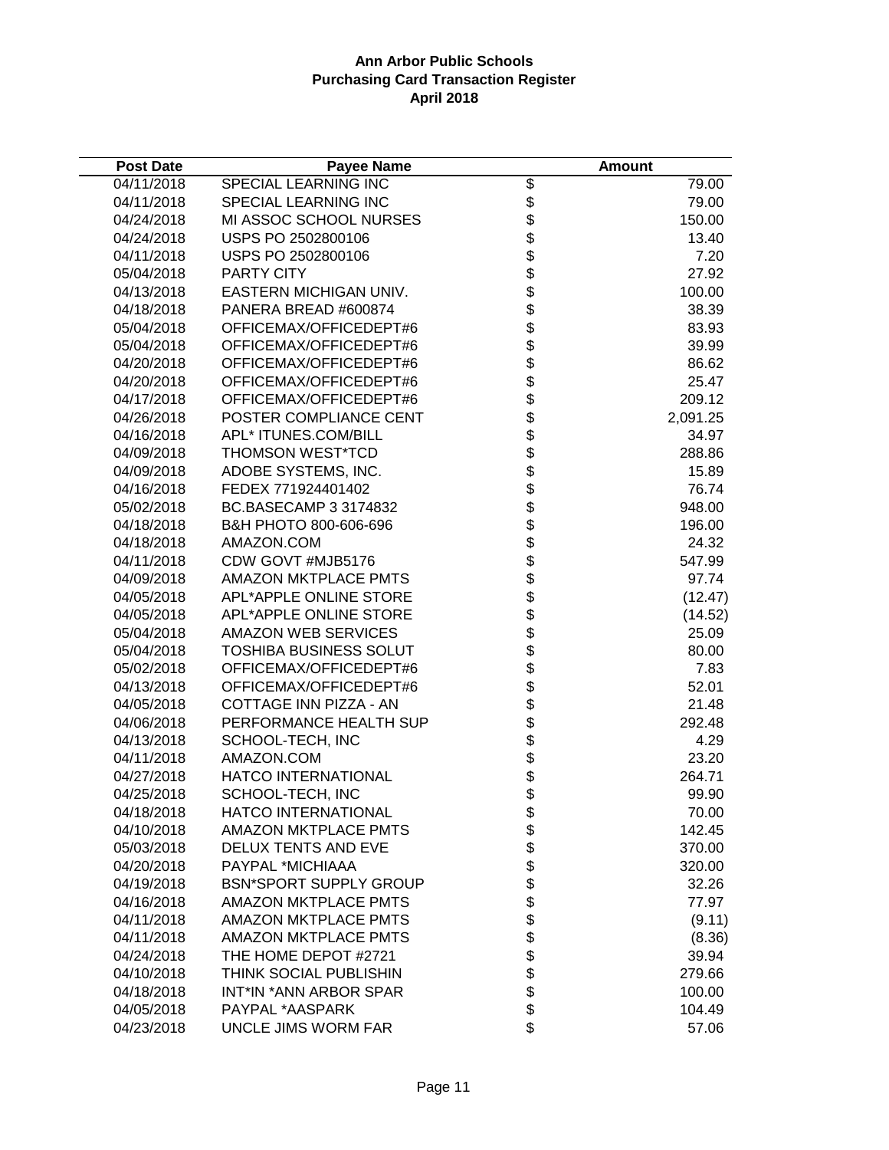| <b>Post Date</b> | <b>Payee Name</b>             |                                  | <b>Amount</b> |
|------------------|-------------------------------|----------------------------------|---------------|
| 04/11/2018       | SPECIAL LEARNING INC          | \$                               | 79.00         |
| 04/11/2018       | SPECIAL LEARNING INC          | \$                               | 79.00         |
| 04/24/2018       | MI ASSOC SCHOOL NURSES        | \$                               | 150.00        |
| 04/24/2018       | USPS PO 2502800106            | \$                               | 13.40         |
| 04/11/2018       | USPS PO 2502800106            | \$                               | 7.20          |
| 05/04/2018       | PARTY CITY                    | \$                               | 27.92         |
| 04/13/2018       | EASTERN MICHIGAN UNIV.        | \$<br>\$                         | 100.00        |
| 04/18/2018       | PANERA BREAD #600874          |                                  | 38.39         |
| 05/04/2018       | OFFICEMAX/OFFICEDEPT#6        | \$                               | 83.93         |
| 05/04/2018       | OFFICEMAX/OFFICEDEPT#6        |                                  | 39.99         |
| 04/20/2018       | OFFICEMAX/OFFICEDEPT#6        |                                  | 86.62         |
| 04/20/2018       | OFFICEMAX/OFFICEDEPT#6        |                                  | 25.47         |
| 04/17/2018       | OFFICEMAX/OFFICEDEPT#6        |                                  | 209.12        |
| 04/26/2018       | POSTER COMPLIANCE CENT        |                                  | 2,091.25      |
| 04/16/2018       | APL* ITUNES.COM/BILL          |                                  | 34.97         |
| 04/09/2018       | <b>THOMSON WEST*TCD</b>       |                                  | 288.86        |
| 04/09/2018       | ADOBE SYSTEMS, INC.           |                                  | 15.89         |
| 04/16/2018       | FEDEX 771924401402            |                                  | 76.74         |
| 05/02/2018       | BC.BASECAMP 3 3174832         |                                  | 948.00        |
| 04/18/2018       | B&H PHOTO 800-606-696         | <b>おおまままままままま</b>                | 196.00        |
| 04/18/2018       | AMAZON.COM                    |                                  | 24.32         |
| 04/11/2018       | CDW GOVT #MJB5176             |                                  | 547.99        |
| 04/09/2018       | <b>AMAZON MKTPLACE PMTS</b>   |                                  | 97.74         |
| 04/05/2018       | APL*APPLE ONLINE STORE        | \$\$\$\$\$\$\$\$\$\$\$\$\$\$\$\$ | (12.47)       |
| 04/05/2018       | APL*APPLE ONLINE STORE        |                                  | (14.52)       |
| 05/04/2018       | <b>AMAZON WEB SERVICES</b>    |                                  | 25.09         |
| 05/04/2018       | <b>TOSHIBA BUSINESS SOLUT</b> |                                  | 80.00         |
| 05/02/2018       | OFFICEMAX/OFFICEDEPT#6        |                                  | 7.83          |
| 04/13/2018       | OFFICEMAX/OFFICEDEPT#6        |                                  | 52.01         |
| 04/05/2018       | COTTAGE INN PIZZA - AN        |                                  | 21.48         |
| 04/06/2018       | PERFORMANCE HEALTH SUP        |                                  | 292.48        |
| 04/13/2018       | SCHOOL-TECH, INC              |                                  | 4.29          |
| 04/11/2018       | AMAZON.COM                    |                                  | 23.20         |
| 04/27/2018       | <b>HATCO INTERNATIONAL</b>    |                                  | 264.71        |
| 04/25/2018       | SCHOOL-TECH, INC              | \$                               | 99.90         |
| 04/18/2018       | HATCO INTERNATIONAL           |                                  | 70.00         |
| 04/10/2018       | <b>AMAZON MKTPLACE PMTS</b>   |                                  | 142.45        |
| 05/03/2018       | DELUX TENTS AND EVE           |                                  | 370.00        |
| 04/20/2018       | PAYPAL *MICHIAAA              | \$\$\$                           | 320.00        |
| 04/19/2018       | <b>BSN*SPORT SUPPLY GROUP</b> | \$<br>\$                         | 32.26         |
| 04/16/2018       | <b>AMAZON MKTPLACE PMTS</b>   |                                  | 77.97         |
| 04/11/2018       | <b>AMAZON MKTPLACE PMTS</b>   |                                  | (9.11)        |
| 04/11/2018       | <b>AMAZON MKTPLACE PMTS</b>   | \$<br>\$                         | (8.36)        |
| 04/24/2018       | THE HOME DEPOT #2721          |                                  | 39.94         |
| 04/10/2018       | THINK SOCIAL PUBLISHIN        |                                  | 279.66        |
| 04/18/2018       | INT*IN *ANN ARBOR SPAR        |                                  | 100.00        |
| 04/05/2018       | PAYPAL *AASPARK               | \$\$\$                           | 104.49        |
| 04/23/2018       | UNCLE JIMS WORM FAR           | \$                               | 57.06         |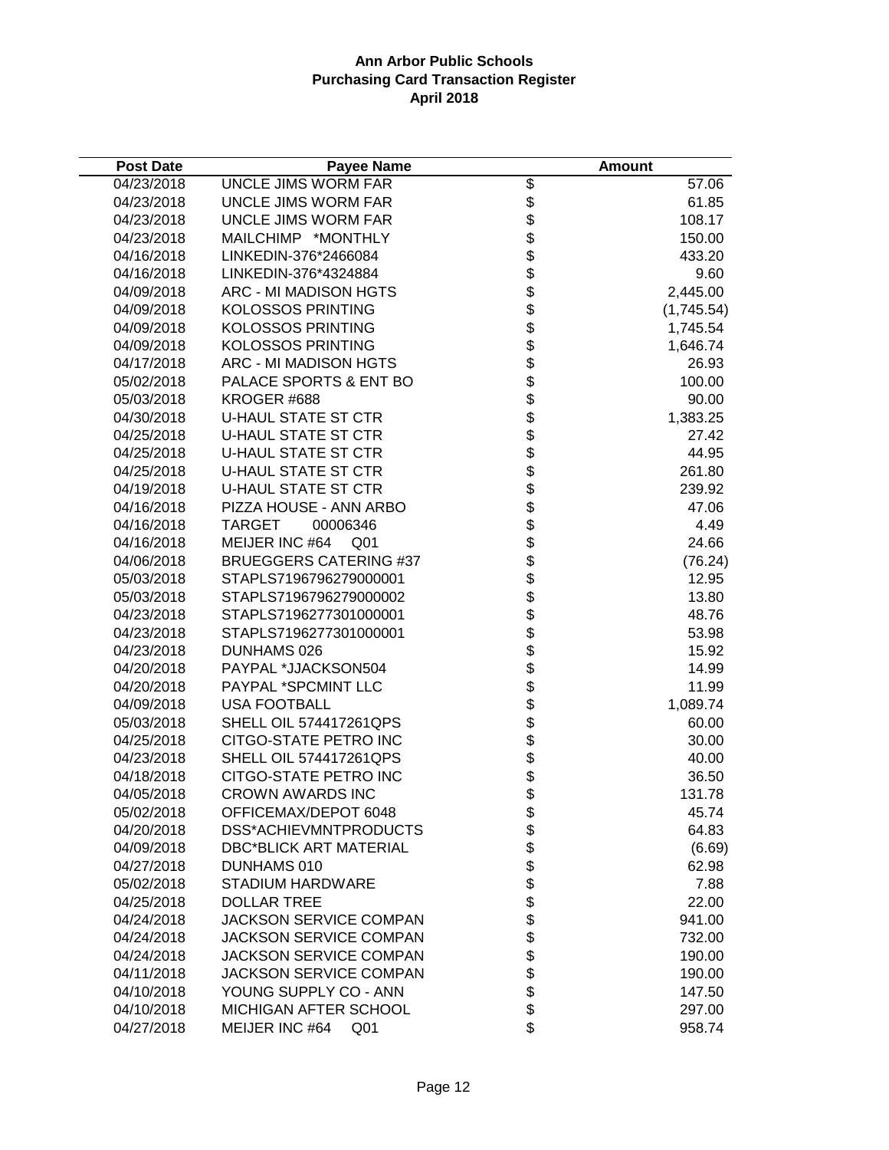| <b>Post Date</b> | <b>Payee Name</b>                 |                              | <b>Amount</b>      |
|------------------|-----------------------------------|------------------------------|--------------------|
| 04/23/2018       | UNCLE JIMS WORM FAR               | \$                           | $\overline{57.06}$ |
| 04/23/2018       | UNCLE JIMS WORM FAR               |                              | 61.85              |
| 04/23/2018       | UNCLE JIMS WORM FAR               |                              | 108.17             |
| 04/23/2018       | MAILCHIMP *MONTHLY                |                              | 150.00             |
| 04/16/2018       | LINKEDIN-376*2466084              |                              | 433.20             |
| 04/16/2018       | LINKEDIN-376*4324884              |                              | 9.60               |
| 04/09/2018       | ARC - MI MADISON HGTS             |                              | 2,445.00           |
| 04/09/2018       | <b>KOLOSSOS PRINTING</b>          |                              | (1,745.54)         |
| 04/09/2018       | <b>KOLOSSOS PRINTING</b>          |                              | 1,745.54           |
| 04/09/2018       | <b>KOLOSSOS PRINTING</b>          |                              | 1,646.74           |
| 04/17/2018       | ARC - MI MADISON HGTS             |                              | 26.93              |
| 05/02/2018       | PALACE SPORTS & ENT BO            |                              | 100.00             |
| 05/03/2018       | KROGER #688                       |                              | 90.00              |
| 04/30/2018       | <b>U-HAUL STATE ST CTR</b>        |                              | 1,383.25           |
| 04/25/2018       | <b>U-HAUL STATE ST CTR</b>        |                              | 27.42              |
| 04/25/2018       | <b>U-HAUL STATE ST CTR</b>        |                              | 44.95              |
| 04/25/2018       | <b>U-HAUL STATE ST CTR</b>        |                              | 261.80             |
| 04/19/2018       | <b>U-HAUL STATE ST CTR</b>        |                              | 239.92             |
| 04/16/2018       | PIZZA HOUSE - ANN ARBO            |                              | 47.06              |
| 04/16/2018       | <b>TARGET</b><br>00006346         |                              | 4.49               |
| 04/16/2018       | MEIJER INC #64<br>Q <sub>01</sub> |                              | 24.66              |
| 04/06/2018       | <b>BRUEGGERS CATERING #37</b>     |                              | (76.24)            |
| 05/03/2018       | STAPLS7196796279000001            |                              | 12.95              |
| 05/03/2018       | STAPLS7196796279000002            |                              | 13.80              |
| 04/23/2018       | STAPLS7196277301000001            |                              | 48.76              |
| 04/23/2018       | STAPLS7196277301000001            |                              | 53.98              |
| 04/23/2018       | DUNHAMS 026                       |                              | 15.92              |
| 04/20/2018       | PAYPAL *JJACKSON504               |                              | 14.99              |
| 04/20/2018       | PAYPAL *SPCMINT LLC               |                              | 11.99              |
| 04/09/2018       | <b>USA FOOTBALL</b>               |                              | 1,089.74           |
| 05/03/2018       | <b>SHELL OIL 574417261QPS</b>     |                              | 60.00              |
| 04/25/2018       | CITGO-STATE PETRO INC             |                              | 30.00              |
| 04/23/2018       | SHELL OIL 574417261QPS            |                              | 40.00              |
| 04/18/2018       | CITGO-STATE PETRO INC             |                              | 36.50              |
| 04/05/2018       | <b>CROWN AWARDS INC</b>           | \$                           | 131.78             |
| 05/02/2018       | OFFICEMAX/DEPOT 6048              |                              | 45.74              |
| 04/20/2018       | DSS*ACHIEVMNTPRODUCTS             |                              | 64.83              |
| 04/09/2018       | <b>DBC*BLICK ART MATERIAL</b>     |                              | (6.69)             |
| 04/27/2018       | DUNHAMS 010                       |                              | 62.98              |
| 05/02/2018       | <b>STADIUM HARDWARE</b>           |                              | 7.88               |
| 04/25/2018       | <b>DOLLAR TREE</b>                |                              | 22.00              |
| 04/24/2018       | <b>JACKSON SERVICE COMPAN</b>     |                              | 941.00             |
| 04/24/2018       | <b>JACKSON SERVICE COMPAN</b>     | \$\$\$\$\$\$\$\$\$\$\$\$\$\$ | 732.00             |
| 04/24/2018       | <b>JACKSON SERVICE COMPAN</b>     |                              | 190.00             |
| 04/11/2018       | <b>JACKSON SERVICE COMPAN</b>     |                              | 190.00             |
| 04/10/2018       | YOUNG SUPPLY CO - ANN             |                              | 147.50             |
| 04/10/2018       | MICHIGAN AFTER SCHOOL             |                              | 297.00             |
| 04/27/2018       | MEIJER INC #64<br>Q <sub>01</sub> | \$                           | 958.74             |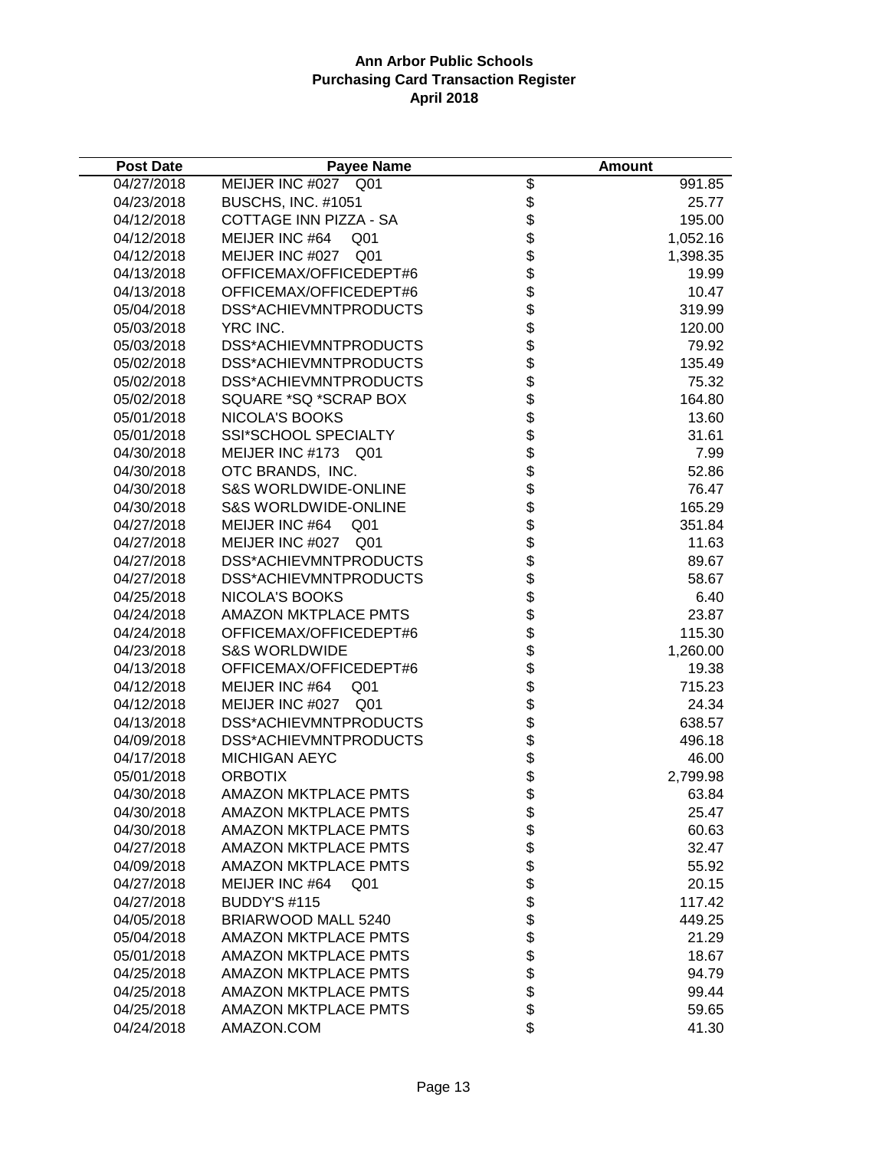| <b>Post Date</b> | <b>Payee Name</b>                  |            | <b>Amount</b> |
|------------------|------------------------------------|------------|---------------|
| 04/27/2018       | MEIJER INC #027 Q01                | \$         | 991.85        |
| 04/23/2018       | <b>BUSCHS, INC. #1051</b>          |            | 25.77         |
| 04/12/2018       | COTTAGE INN PIZZA - SA             |            | 195.00        |
| 04/12/2018       | MEIJER INC #64<br>Q <sub>01</sub>  |            | 1,052.16      |
| 04/12/2018       | MEIJER INC #027<br>Q <sub>01</sub> |            | 1,398.35      |
| 04/13/2018       | OFFICEMAX/OFFICEDEPT#6             |            | 19.99         |
| 04/13/2018       | OFFICEMAX/OFFICEDEPT#6             |            | 10.47         |
| 05/04/2018       | DSS*ACHIEVMNTPRODUCTS              |            | 319.99        |
| 05/03/2018       | YRC INC.                           |            | 120.00        |
| 05/03/2018       | DSS*ACHIEVMNTPRODUCTS              |            | 79.92         |
| 05/02/2018       | DSS*ACHIEVMNTPRODUCTS              |            | 135.49        |
| 05/02/2018       | DSS*ACHIEVMNTPRODUCTS              |            | 75.32         |
| 05/02/2018       | SQUARE *SQ *SCRAP BOX              |            | 164.80        |
| 05/01/2018       | NICOLA'S BOOKS                     |            | 13.60         |
| 05/01/2018       | SSI*SCHOOL SPECIALTY               |            | 31.61         |
| 04/30/2018       | MEIJER INC #173 Q01                |            | 7.99          |
| 04/30/2018       | OTC BRANDS, INC.                   |            | 52.86         |
| 04/30/2018       | <b>S&amp;S WORLDWIDE-ONLINE</b>    |            | 76.47         |
| 04/30/2018       | <b>S&amp;S WORLDWIDE-ONLINE</b>    |            | 165.29        |
| 04/27/2018       | MEIJER INC #64<br>Q <sub>0</sub> 1 |            | 351.84        |
| 04/27/2018       | MEIJER INC #027<br>Q <sub>01</sub> |            | 11.63         |
| 04/27/2018       | DSS*ACHIEVMNTPRODUCTS              |            | 89.67         |
| 04/27/2018       | DSS*ACHIEVMNTPRODUCTS              |            | 58.67         |
| 04/25/2018       | NICOLA'S BOOKS                     |            | 6.40          |
| 04/24/2018       | <b>AMAZON MKTPLACE PMTS</b>        |            | 23.87         |
| 04/24/2018       | OFFICEMAX/OFFICEDEPT#6             |            | 115.30        |
| 04/23/2018       | <b>S&amp;S WORLDWIDE</b>           |            | 1,260.00      |
| 04/13/2018       | OFFICEMAX/OFFICEDEPT#6             |            | 19.38         |
| 04/12/2018       | MEIJER INC #64<br>Q01              |            | 715.23        |
| 04/12/2018       | MEIJER INC #027 Q01                |            | 24.34         |
| 04/13/2018       | DSS*ACHIEVMNTPRODUCTS              |            | 638.57        |
| 04/09/2018       | DSS*ACHIEVMNTPRODUCTS              |            | 496.18        |
| 04/17/2018       | <b>MICHIGAN AEYC</b>               |            | 46.00         |
| 05/01/2018       | <b>ORBOTIX</b>                     |            | 2,799.98      |
| 04/30/2018       | <b>AMAZON MKTPLACE PMTS</b>        | \$         | 63.84         |
| 04/30/2018       | <b>AMAZON MKTPLACE PMTS</b>        |            | 25.47         |
| 04/30/2018       | <b>AMAZON MKTPLACE PMTS</b>        | \$\$\$     | 60.63         |
| 04/27/2018       | <b>AMAZON MKTPLACE PMTS</b>        |            | 32.47         |
| 04/09/2018       | <b>AMAZON MKTPLACE PMTS</b>        |            | 55.92         |
| 04/27/2018       | MEIJER INC #64<br>Q01              |            | 20.15         |
| 04/27/2018       | <b>BUDDY'S #115</b>                | \$<br>\$   | 117.42        |
| 04/05/2018       | BRIARWOOD MALL 5240                |            | 449.25        |
| 05/04/2018       | <b>AMAZON MKTPLACE PMTS</b>        | \$\$\$\$\$ | 21.29         |
| 05/01/2018       | <b>AMAZON MKTPLACE PMTS</b>        |            | 18.67         |
| 04/25/2018       | <b>AMAZON MKTPLACE PMTS</b>        |            | 94.79         |
| 04/25/2018       | <b>AMAZON MKTPLACE PMTS</b>        |            | 99.44         |
| 04/25/2018       | <b>AMAZON MKTPLACE PMTS</b>        | \$         | 59.65         |
| 04/24/2018       | AMAZON.COM                         | \$         | 41.30         |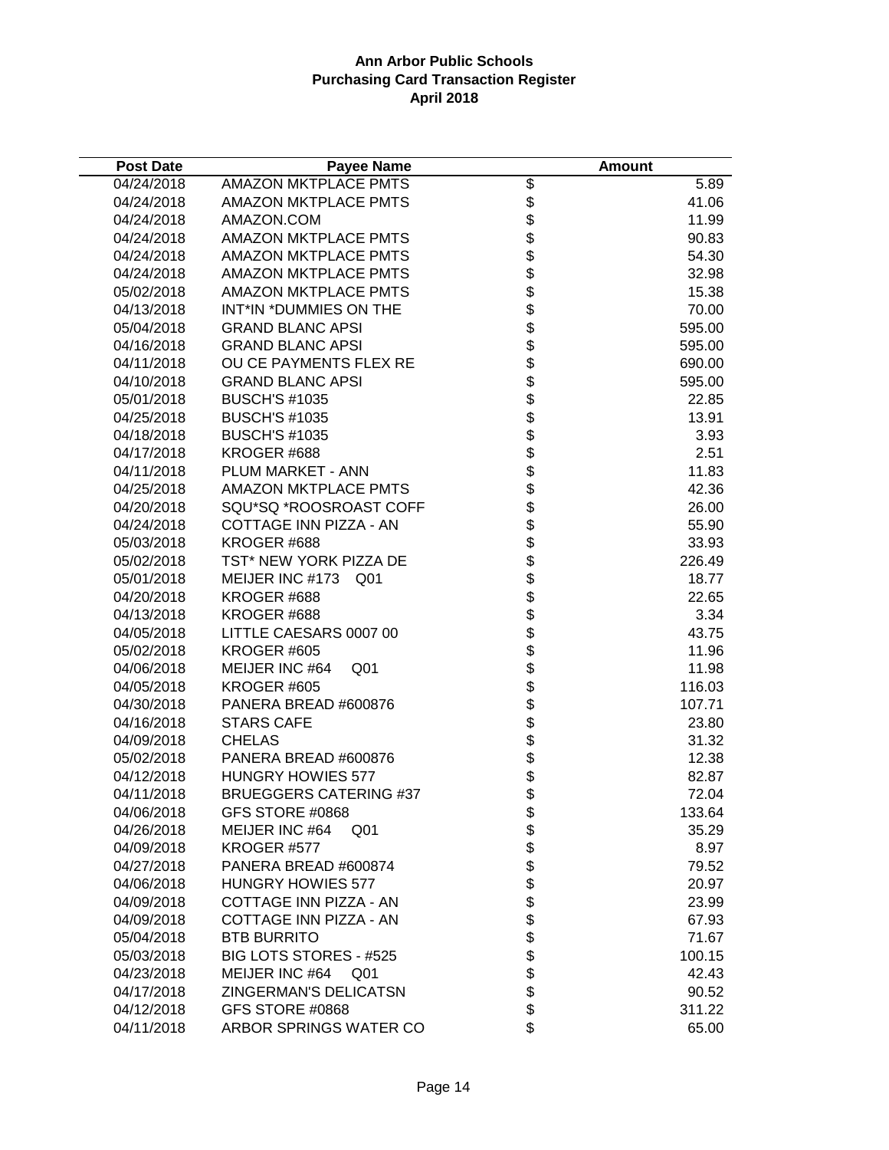| <b>Post Date</b> | <b>Payee Name</b>                 |                          | <b>Amount</b> |
|------------------|-----------------------------------|--------------------------|---------------|
| 04/24/2018       | AMAZON MKTPLACE PMTS              | $\overline{\mathcal{E}}$ | 5.89          |
| 04/24/2018       | <b>AMAZON MKTPLACE PMTS</b>       |                          | 41.06         |
| 04/24/2018       | AMAZON.COM                        |                          | 11.99         |
| 04/24/2018       | <b>AMAZON MKTPLACE PMTS</b>       |                          | 90.83         |
| 04/24/2018       | <b>AMAZON MKTPLACE PMTS</b>       |                          | 54.30         |
| 04/24/2018       | <b>AMAZON MKTPLACE PMTS</b>       |                          | 32.98         |
| 05/02/2018       | <b>AMAZON MKTPLACE PMTS</b>       |                          | 15.38         |
| 04/13/2018       | INT*IN *DUMMIES ON THE            |                          | 70.00         |
| 05/04/2018       | <b>GRAND BLANC APSI</b>           |                          | 595.00        |
| 04/16/2018       | <b>GRAND BLANC APSI</b>           |                          | 595.00        |
| 04/11/2018       | OU CE PAYMENTS FLEX RE            |                          | 690.00        |
| 04/10/2018       | <b>GRAND BLANC APSI</b>           |                          | 595.00        |
| 05/01/2018       | <b>BUSCH'S #1035</b>              |                          | 22.85         |
| 04/25/2018       | <b>BUSCH'S #1035</b>              |                          | 13.91         |
| 04/18/2018       | <b>BUSCH'S #1035</b>              |                          | 3.93          |
| 04/17/2018       | KROGER #688                       |                          | 2.51          |
| 04/11/2018       | PLUM MARKET - ANN                 |                          | 11.83         |
| 04/25/2018       | <b>AMAZON MKTPLACE PMTS</b>       |                          | 42.36         |
| 04/20/2018       | SQU*SQ *ROOSROAST COFF            |                          | 26.00         |
| 04/24/2018       | COTTAGE INN PIZZA - AN            |                          | 55.90         |
| 05/03/2018       | KROGER #688                       |                          | 33.93         |
| 05/02/2018       | TST* NEW YORK PIZZA DE            |                          | 226.49        |
| 05/01/2018       | MEIJER INC #173 Q01               |                          | 18.77         |
| 04/20/2018       | KROGER #688                       |                          | 22.65         |
| 04/13/2018       | KROGER #688                       |                          | 3.34          |
| 04/05/2018       | LITTLE CAESARS 0007 00            |                          | 43.75         |
| 05/02/2018       | KROGER #605                       |                          | 11.96         |
| 04/06/2018       | MEIJER INC #64<br>Q <sub>01</sub> |                          | 11.98         |
| 04/05/2018       | KROGER #605                       |                          | 116.03        |
| 04/30/2018       | PANERA BREAD #600876              |                          | 107.71        |
| 04/16/2018       | <b>STARS CAFE</b>                 |                          | 23.80         |
| 04/09/2018       | <b>CHELAS</b>                     |                          | 31.32         |
| 05/02/2018       | PANERA BREAD #600876              |                          | 12.38         |
| 04/12/2018       | <b>HUNGRY HOWIES 577</b>          |                          | 82.87         |
| 04/11/2018       | <b>BRUEGGERS CATERING #37</b>     |                          | 72.04         |
| 04/06/2018       | GFS STORE #0868                   | \$                       | 133.64        |
| 04/26/2018       | MEIJER INC #64<br>Q <sub>01</sub> |                          | 35.29         |
| 04/09/2018       | KROGER #577                       |                          | 8.97          |
| 04/27/2018       | PANERA BREAD #600874              |                          | 79.52         |
| 04/06/2018       | <b>HUNGRY HOWIES 577</b>          |                          | 20.97         |
| 04/09/2018       | COTTAGE INN PIZZA - AN            |                          | 23.99         |
| 04/09/2018       | COTTAGE INN PIZZA - AN            |                          | 67.93         |
| 05/04/2018       | <b>BTB BURRITO</b>                |                          | 71.67         |
| 05/03/2018       | BIG LOTS STORES - #525            | \$\$\$\$\$\$\$\$\$\$\$\$ | 100.15        |
| 04/23/2018       | MEIJER INC #64<br>Q <sub>01</sub> |                          | 42.43         |
| 04/17/2018       | ZINGERMAN'S DELICATSN             |                          | 90.52         |
| 04/12/2018       | GFS STORE #0868                   |                          | 311.22        |
| 04/11/2018       | ARBOR SPRINGS WATER CO            | \$                       | 65.00         |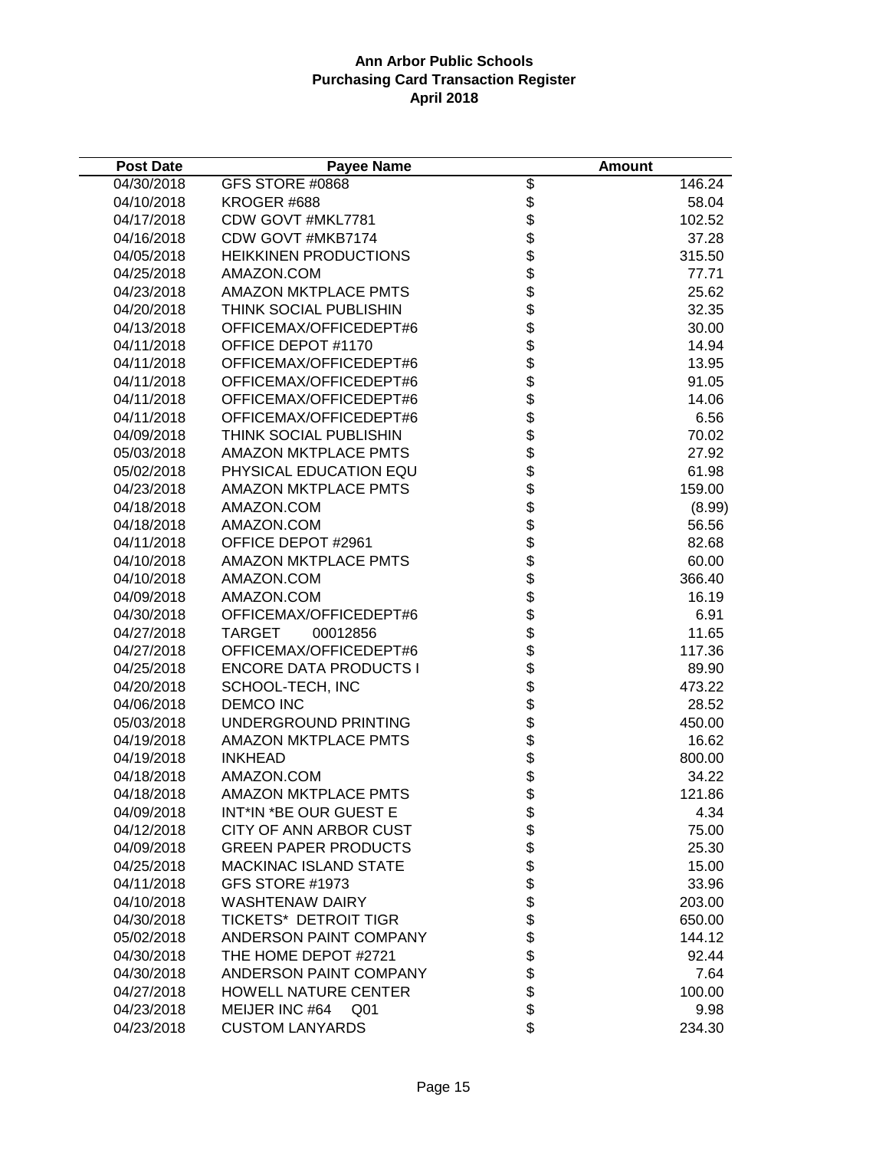| <b>Post Date</b> | <b>Payee Name</b>                 |                  | <b>Amount</b> |
|------------------|-----------------------------------|------------------|---------------|
| 04/30/2018       | GFS STORE #0868                   | \$               | 146.24        |
| 04/10/2018       | KROGER #688                       |                  | 58.04         |
| 04/17/2018       | CDW GOVT #MKL7781                 |                  | 102.52        |
| 04/16/2018       | CDW GOVT #MKB7174                 |                  | 37.28         |
| 04/05/2018       | <b>HEIKKINEN PRODUCTIONS</b>      |                  | 315.50        |
| 04/25/2018       | AMAZON.COM                        |                  | 77.71         |
| 04/23/2018       | <b>AMAZON MKTPLACE PMTS</b>       |                  | 25.62         |
| 04/20/2018       | THINK SOCIAL PUBLISHIN            |                  | 32.35         |
| 04/13/2018       | OFFICEMAX/OFFICEDEPT#6            |                  | 30.00         |
| 04/11/2018       | OFFICE DEPOT #1170                |                  | 14.94         |
| 04/11/2018       | OFFICEMAX/OFFICEDEPT#6            |                  | 13.95         |
| 04/11/2018       | OFFICEMAX/OFFICEDEPT#6            |                  | 91.05         |
| 04/11/2018       | OFFICEMAX/OFFICEDEPT#6            |                  | 14.06         |
| 04/11/2018       | OFFICEMAX/OFFICEDEPT#6            |                  | 6.56          |
| 04/09/2018       | THINK SOCIAL PUBLISHIN            |                  | 70.02         |
| 05/03/2018       | <b>AMAZON MKTPLACE PMTS</b>       |                  | 27.92         |
| 05/02/2018       | PHYSICAL EDUCATION EQU            |                  | 61.98         |
| 04/23/2018       | <b>AMAZON MKTPLACE PMTS</b>       |                  | 159.00        |
| 04/18/2018       | AMAZON.COM                        |                  | (8.99)        |
| 04/18/2018       | AMAZON.COM                        |                  | 56.56         |
| 04/11/2018       | OFFICE DEPOT #2961                |                  | 82.68         |
| 04/10/2018       | <b>AMAZON MKTPLACE PMTS</b>       |                  | 60.00         |
| 04/10/2018       | AMAZON.COM                        |                  | 366.40        |
| 04/09/2018       | AMAZON.COM                        |                  | 16.19         |
| 04/30/2018       | OFFICEMAX/OFFICEDEPT#6            |                  | 6.91          |
| 04/27/2018       | <b>TARGET</b><br>00012856         |                  | 11.65         |
| 04/27/2018       | OFFICEMAX/OFFICEDEPT#6            |                  | 117.36        |
| 04/25/2018       | <b>ENCORE DATA PRODUCTS I</b>     |                  | 89.90         |
| 04/20/2018       | SCHOOL-TECH, INC                  |                  | 473.22        |
| 04/06/2018       | <b>DEMCO INC</b>                  |                  | 28.52         |
| 05/03/2018       | UNDERGROUND PRINTING              |                  | 450.00        |
| 04/19/2018       | <b>AMAZON MKTPLACE PMTS</b>       |                  | 16.62         |
| 04/19/2018       | <b>INKHEAD</b>                    |                  | 800.00        |
| 04/18/2018       | AMAZON.COM                        |                  | 34.22         |
| 04/18/2018       | <b>AMAZON MKTPLACE PMTS</b>       | \$               | 121.86        |
| 04/09/2018       | INT*IN *BE OUR GUEST E            |                  | 4.34          |
| 04/12/2018       | CITY OF ANN ARBOR CUST            | \$<br>\$         | 75.00         |
| 04/09/2018       | <b>GREEN PAPER PRODUCTS</b>       |                  | 25.30         |
| 04/25/2018       | <b>MACKINAC ISLAND STATE</b>      |                  | 15.00         |
| 04/11/2018       | <b>GFS STORE #1973</b>            |                  | 33.96         |
| 04/10/2018       | <b>WASHTENAW DAIRY</b>            |                  | 203.00        |
| 04/30/2018       | <b>TICKETS* DETROIT TIGR</b>      |                  | 650.00        |
| 05/02/2018       | ANDERSON PAINT COMPANY            |                  | 144.12        |
| 04/30/2018       | THE HOME DEPOT #2721              | <b>おおおおおおおおお</b> | 92.44         |
| 04/30/2018       | ANDERSON PAINT COMPANY            |                  | 7.64          |
| 04/27/2018       | <b>HOWELL NATURE CENTER</b>       |                  | 100.00        |
| 04/23/2018       | MEIJER INC #64<br>Q <sub>01</sub> |                  | 9.98          |
| 04/23/2018       | <b>CUSTOM LANYARDS</b>            | \$               | 234.30        |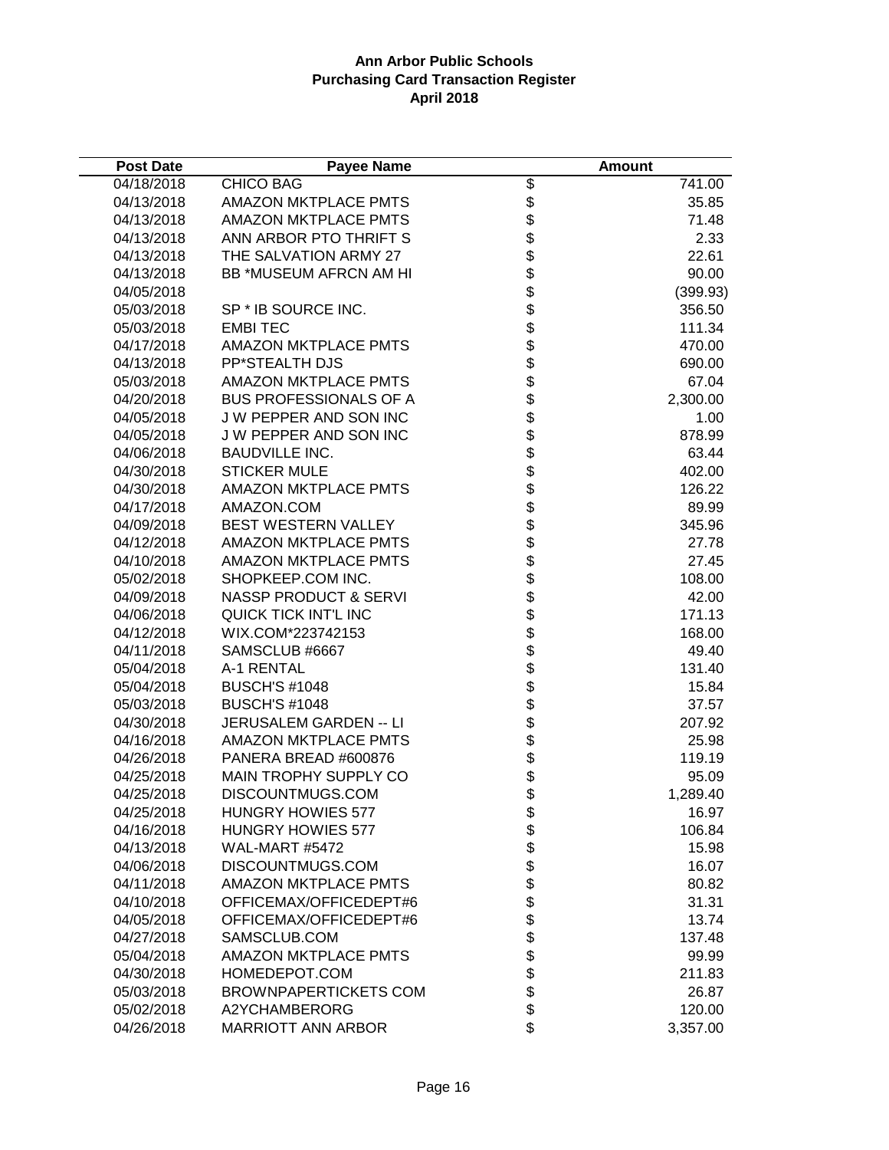| <b>Post Date</b>         | <b>Payee Name</b>                              |                              | <b>Amount</b>   |
|--------------------------|------------------------------------------------|------------------------------|-----------------|
| 04/18/2018               | <b>CHICO BAG</b>                               | $\overline{\mathcal{E}}$     | 741.00          |
| 04/13/2018               | <b>AMAZON MKTPLACE PMTS</b>                    |                              | 35.85           |
| 04/13/2018               | <b>AMAZON MKTPLACE PMTS</b>                    |                              | 71.48           |
| 04/13/2018               | ANN ARBOR PTO THRIFT S                         |                              | 2.33            |
| 04/13/2018               | THE SALVATION ARMY 27                          |                              | 22.61           |
| 04/13/2018               | BB *MUSEUM AFRCN AM HI                         |                              | 90.00           |
| 04/05/2018               |                                                |                              | (399.93)        |
| 05/03/2018               | SP * IB SOURCE INC.                            |                              | 356.50          |
| 05/03/2018               | <b>EMBITEC</b>                                 |                              | 111.34          |
| 04/17/2018               | <b>AMAZON MKTPLACE PMTS</b>                    |                              | 470.00          |
| 04/13/2018               | PP*STEALTH DJS                                 |                              | 690.00          |
| 05/03/2018               | <b>AMAZON MKTPLACE PMTS</b>                    |                              | 67.04           |
| 04/20/2018               | <b>BUS PROFESSIONALS OF A</b>                  |                              | 2,300.00        |
| 04/05/2018               | J W PEPPER AND SON INC                         |                              | 1.00            |
| 04/05/2018               | J W PEPPER AND SON INC                         |                              | 878.99          |
| 04/06/2018               | <b>BAUDVILLE INC.</b>                          |                              | 63.44           |
| 04/30/2018               | <b>STICKER MULE</b>                            |                              | 402.00          |
| 04/30/2018               | <b>AMAZON MKTPLACE PMTS</b>                    |                              | 126.22          |
| 04/17/2018               | AMAZON.COM                                     |                              | 89.99           |
| 04/09/2018               | BEST WESTERN VALLEY                            |                              | 345.96          |
| 04/12/2018               | <b>AMAZON MKTPLACE PMTS</b>                    |                              | 27.78           |
| 04/10/2018               | AMAZON MKTPLACE PMTS                           |                              | 27.45           |
| 05/02/2018               | SHOPKEEP.COM INC.                              |                              | 108.00          |
| 04/09/2018               | <b>NASSP PRODUCT &amp; SERVI</b>               |                              | 42.00           |
| 04/06/2018               | QUICK TICK INT'L INC                           |                              | 171.13          |
| 04/12/2018               | WIX.COM*223742153                              |                              | 168.00          |
| 04/11/2018               | SAMSCLUB #6667                                 |                              | 49.40           |
| 05/04/2018               | A-1 RENTAL                                     |                              | 131.40          |
| 05/04/2018               | <b>BUSCH'S #1048</b>                           |                              | 15.84           |
| 05/03/2018<br>04/30/2018 | <b>BUSCH'S #1048</b><br>JERUSALEM GARDEN -- LI |                              | 37.57<br>207.92 |
| 04/16/2018               | <b>AMAZON MKTPLACE PMTS</b>                    |                              | 25.98           |
| 04/26/2018               | PANERA BREAD #600876                           |                              | 119.19          |
| 04/25/2018               | <b>MAIN TROPHY SUPPLY CO</b>                   |                              | 95.09           |
| 04/25/2018               | DISCOUNTMUGS.COM                               |                              | 1,289.40        |
| 04/25/2018               | <b>HUNGRY HOWIES 577</b>                       |                              | 16.97           |
| 04/16/2018               | <b>HUNGRY HOWIES 577</b>                       |                              | 106.84          |
| 04/13/2018               | WAL-MART #5472                                 |                              | 15.98           |
| 04/06/2018               | DISCOUNTMUGS.COM                               |                              | 16.07           |
| 04/11/2018               | <b>AMAZON MKTPLACE PMTS</b>                    |                              | 80.82           |
| 04/10/2018               | OFFICEMAX/OFFICEDEPT#6                         |                              | 31.31           |
| 04/05/2018               | OFFICEMAX/OFFICEDEPT#6                         |                              | 13.74           |
| 04/27/2018               | SAMSCLUB.COM                                   |                              | 137.48          |
| 05/04/2018               | <b>AMAZON MKTPLACE PMTS</b>                    |                              | 99.99           |
| 04/30/2018               | HOMEDEPOT.COM                                  | \$\$\$\$\$\$\$\$\$\$\$\$\$\$ | 211.83          |
| 05/03/2018               | <b>BROWNPAPERTICKETS COM</b>                   |                              | 26.87           |
| 05/02/2018               | A2YCHAMBERORG                                  |                              | 120.00          |
| 04/26/2018               | <b>MARRIOTT ANN ARBOR</b>                      | \$                           | 3,357.00        |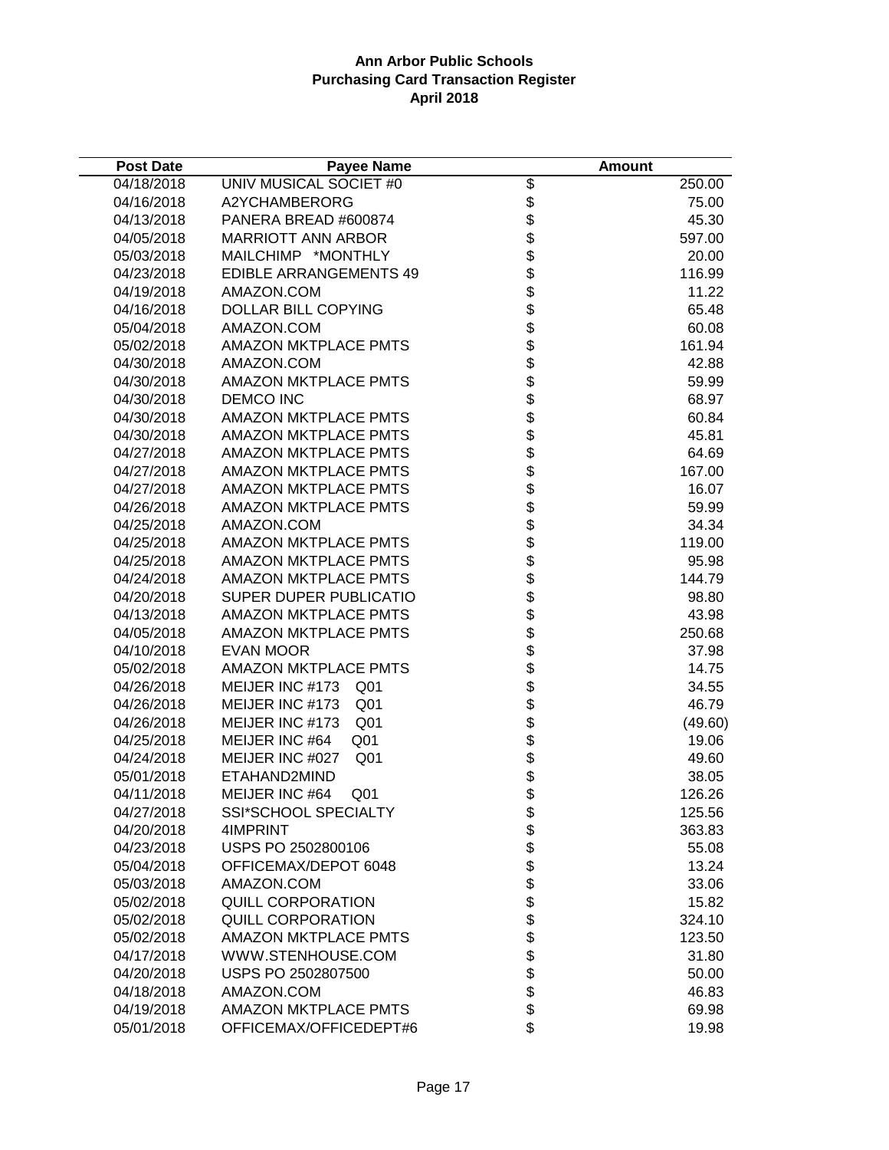| <b>Post Date</b> | <b>Payee Name</b>                  |                                  | <b>Amount</b> |
|------------------|------------------------------------|----------------------------------|---------------|
| 04/18/2018       | UNIV MUSICAL SOCIET #0             | \$                               | 250.00        |
| 04/16/2018       | A2YCHAMBERORG                      |                                  | 75.00         |
| 04/13/2018       | PANERA BREAD #600874               | \$<br>\$                         | 45.30         |
| 04/05/2018       | <b>MARRIOTT ANN ARBOR</b>          | \$                               | 597.00        |
| 05/03/2018       | MAILCHIMP *MONTHLY                 | <b>金ままままままままままま</b>              | 20.00         |
| 04/23/2018       | <b>EDIBLE ARRANGEMENTS 49</b>      |                                  | 116.99        |
| 04/19/2018       | AMAZON.COM                         |                                  | 11.22         |
| 04/16/2018       | DOLLAR BILL COPYING                |                                  | 65.48         |
| 05/04/2018       | AMAZON.COM                         |                                  | 60.08         |
| 05/02/2018       | <b>AMAZON MKTPLACE PMTS</b>        |                                  | 161.94        |
| 04/30/2018       | AMAZON.COM                         |                                  | 42.88         |
| 04/30/2018       | <b>AMAZON MKTPLACE PMTS</b>        |                                  | 59.99         |
| 04/30/2018       | <b>DEMCO INC</b>                   |                                  | 68.97         |
| 04/30/2018       | <b>AMAZON MKTPLACE PMTS</b>        |                                  | 60.84         |
| 04/30/2018       | <b>AMAZON MKTPLACE PMTS</b>        |                                  | 45.81         |
| 04/27/2018       | <b>AMAZON MKTPLACE PMTS</b>        |                                  | 64.69         |
| 04/27/2018       | <b>AMAZON MKTPLACE PMTS</b>        |                                  | 167.00        |
| 04/27/2018       | <b>AMAZON MKTPLACE PMTS</b>        |                                  | 16.07         |
| 04/26/2018       | <b>AMAZON MKTPLACE PMTS</b>        | \$                               | 59.99         |
| 04/25/2018       | AMAZON.COM                         | \$                               | 34.34         |
| 04/25/2018       | <b>AMAZON MKTPLACE PMTS</b>        | \$                               | 119.00        |
| 04/25/2018       | <b>AMAZON MKTPLACE PMTS</b>        |                                  | 95.98         |
| 04/24/2018       | <b>AMAZON MKTPLACE PMTS</b>        | <b>a a a a a a a a a a a a a</b> | 144.79        |
| 04/20/2018       | SUPER DUPER PUBLICATIO             |                                  | 98.80         |
| 04/13/2018       | <b>AMAZON MKTPLACE PMTS</b>        |                                  | 43.98         |
| 04/05/2018       | <b>AMAZON MKTPLACE PMTS</b>        |                                  | 250.68        |
| 04/10/2018       | <b>EVAN MOOR</b>                   |                                  | 37.98         |
| 05/02/2018       | <b>AMAZON MKTPLACE PMTS</b>        |                                  | 14.75         |
| 04/26/2018       | MEIJER INC #173<br>Q <sub>01</sub> |                                  | 34.55         |
| 04/26/2018       | MEIJER INC #173<br>Q <sub>01</sub> |                                  | 46.79         |
| 04/26/2018       | MEIJER INC #173<br>Q01             |                                  | (49.60)       |
| 04/25/2018       | MEIJER INC #64<br>Q <sub>01</sub>  |                                  | 19.06         |
| 04/24/2018       | MEIJER INC #027<br>Q <sub>01</sub> |                                  | 49.60         |
| 05/01/2018       | ETAHAND2MIND                       |                                  | 38.05         |
| 04/11/2018       | MEIJER INC #64<br>Q <sub>01</sub>  | \$                               | 126.26        |
| 04/27/2018       | <b>SSI*SCHOOL SPECIALTY</b>        | \$                               | 125.56        |
| 04/20/2018       | 4IMPRINT                           | \$                               | 363.83        |
| 04/23/2018       | USPS PO 2502800106                 |                                  | 55.08         |
| 05/04/2018       | OFFICEMAX/DEPOT 6048               |                                  | 13.24         |
| 05/03/2018       | AMAZON.COM                         |                                  | 33.06         |
| 05/02/2018       | <b>QUILL CORPORATION</b>           |                                  | 15.82         |
| 05/02/2018       | <b>QUILL CORPORATION</b>           | <b>88888888</b>                  | 324.10        |
| 05/02/2018       | <b>AMAZON MKTPLACE PMTS</b>        |                                  | 123.50        |
| 04/17/2018       | WWW.STENHOUSE.COM                  |                                  | 31.80         |
| 04/20/2018       | USPS PO 2502807500                 |                                  | 50.00         |
| 04/18/2018       | AMAZON.COM                         |                                  | 46.83         |
| 04/19/2018       | <b>AMAZON MKTPLACE PMTS</b>        | \$                               | 69.98         |
| 05/01/2018       | OFFICEMAX/OFFICEDEPT#6             | \$                               | 19.98         |